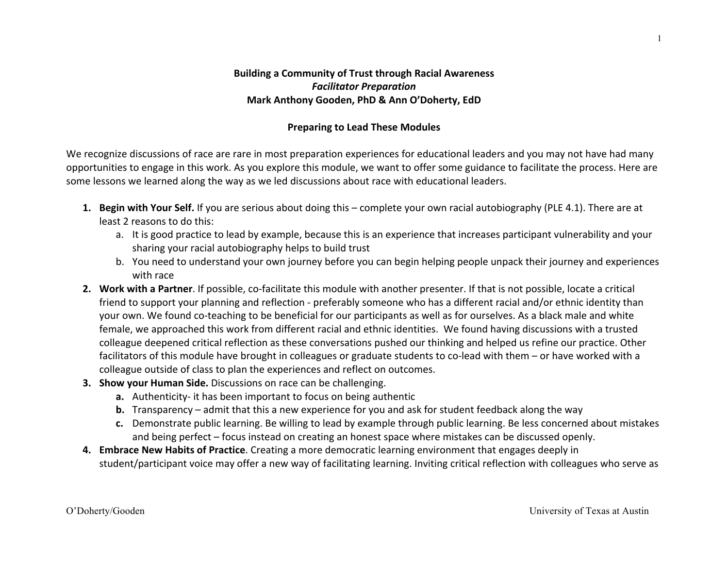#### **Building a Community of Trust through Racial Awareness** *Facilitator 
Preparation* Mark Anthony Gooden, PhD & Ann O'Doherty, EdD

#### **Preparing to Lead These Modules**

We recognize discussions of race are rare in most preparation experiences for educational leaders and you may not have had many opportunities to engage in this work. As you explore this module, we want to offer some guidance to facilitate the process. Here are some lessons we learned along the way as we led discussions about race with educational leaders.

- **1.** Begin with Your Self. If you are serious about doing this complete your own racial autobiography (PLE 4.1). There are at least 2 reasons to do this:
	- a. It is good practice to lead by example, because this is an experience that increases participant vulnerability and your sharing your racial autobiography helps to build trust
	- b. You need to understand your own journey before you can begin helping people unpack their journey and experiences with race
- 2. Work with a Partner. If possible, co-facilitate this module with another presenter. If that is not possible, locate a critical friend to support your planning and reflection - preferably someone who has a different racial and/or ethnic identity than your own. We found co-teaching to be beneficial for our participants as well as for ourselves. As a black male and white female, we approached this work from different racial and ethnic identities. We found having discussions with a trusted colleague deepened critical reflection as these conversations pushed our thinking and helped us refine our practice. Other facilitators of this module have brought in colleagues or graduate students to co-lead with them – or have worked with a colleague outside of class to plan the experiences and reflect on outcomes.
- **3.** Show your Human Side. Discussions on race can be challenging.
	- **a.** Authenticity- it has been important to focus on being authentic
	- **b.** Transparency admit that this a new experience for you and ask for student feedback along the way
	- c. Demonstrate public learning. Be willing to lead by example through public learning. Be less concerned about mistakes and being perfect – focus instead on creating an honest space where mistakes can be discussed openly.
- 4. Embrace New Habits of Practice. Creating a more democratic learning environment that engages deeply in student/participant voice may offer a new way of facilitating learning. Inviting critical reflection with colleagues who serve as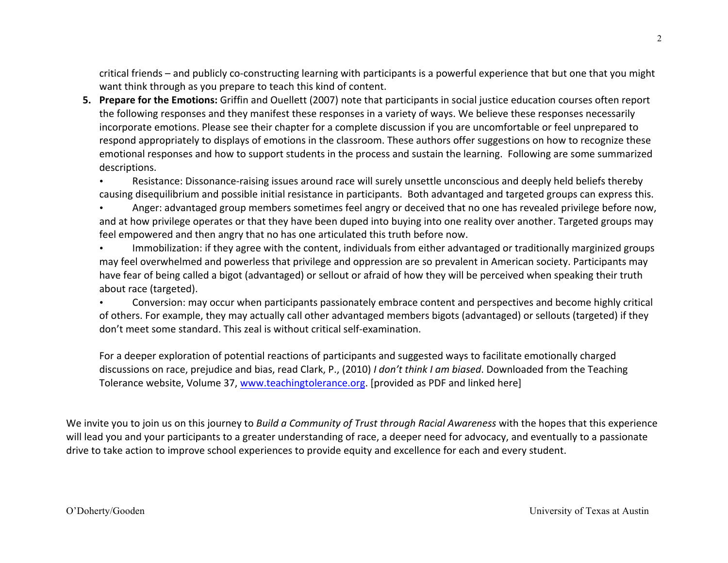critical friends – and publicly co-constructing learning with participants is a powerful experience that but one that you might want think through as you prepare to teach this kind of content.

**5.** Prepare for the Emotions: Griffin and Ouellett (2007) note that participants in social justice education courses often report the following responses and they manifest these responses in a variety of ways. We believe these responses necessarily incorporate emotions. Please see their chapter for a complete discussion if you are uncomfortable or feel unprepared to respond appropriately to displays of emotions in the classroom. These authors offer suggestions on how to recognize these emotional responses and how to support students in the process and sustain the learning. Following are some summarized descriptions.

• Resistance: Dissonance-raising issues around race will surely unsettle unconscious and deeply held beliefs thereby causing disequilibrium and possible initial resistance in participants. Both advantaged and targeted groups can express this.

Anger: advantaged group members sometimes feel angry or deceived that no one has revealed privilege before now, and at how privilege operates or that they have been duped into buying into one reality over another. Targeted groups may feel empowered and then angry that no has one articulated this truth before now.

Immobilization: if they agree with the content, individuals from either advantaged or traditionally marginized groups may feel overwhelmed and powerless that privilege and oppression are so prevalent in American society. Participants may have fear of being called a bigot (advantaged) or sellout or afraid of how they will be perceived when speaking their truth about race (targeted).

Conversion: may occur when participants passionately embrace content and perspectives and become highly critical of others. For example, they may actually call other advantaged members bigots (advantaged) or sellouts (targeted) if they don't meet some standard. This zeal is without critical self-examination.

For a deeper exploration of potential reactions of participants and suggested ways to facilitate emotionally charged discussions on race, prejudice and bias, read Clark, P., (2010) I don't think I am biased. Downloaded from the Teaching Tolerance website, Volume 37, www.teachingtolerance.org. [provided as PDF and linked here]

We invite you to join us on this journey to Build a Community of Trust through Racial Awareness with the hopes that this experience will lead you and your participants to a greater understanding of race, a deeper need for advocacy, and eventually to a passionate drive to take action to improve school experiences to provide equity and excellence for each and every student.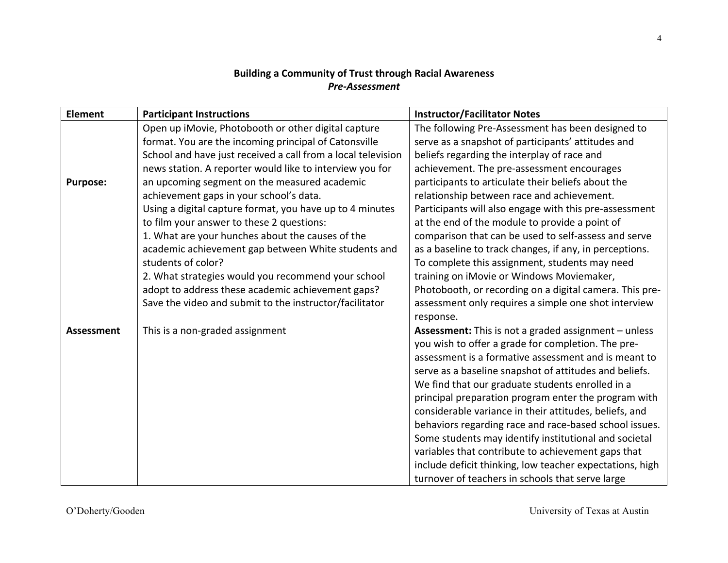## **Building a Community of Trust through Racial Awareness** *Pre-‐Assessment*

| <b>Element</b>    | <b>Participant Instructions</b>                              | <b>Instructor/Facilitator Notes</b>                         |
|-------------------|--------------------------------------------------------------|-------------------------------------------------------------|
|                   | Open up iMovie, Photobooth or other digital capture          | The following Pre-Assessment has been designed to           |
|                   | format. You are the incoming principal of Catonsville        | serve as a snapshot of participants' attitudes and          |
|                   | School and have just received a call from a local television | beliefs regarding the interplay of race and                 |
|                   | news station. A reporter would like to interview you for     | achievement. The pre-assessment encourages                  |
| <b>Purpose:</b>   | an upcoming segment on the measured academic                 | participants to articulate their beliefs about the          |
|                   | achievement gaps in your school's data.                      | relationship between race and achievement.                  |
|                   | Using a digital capture format, you have up to 4 minutes     | Participants will also engage with this pre-assessment      |
|                   | to film your answer to these 2 questions:                    | at the end of the module to provide a point of              |
|                   | 1. What are your hunches about the causes of the             | comparison that can be used to self-assess and serve        |
|                   | academic achievement gap between White students and          | as a baseline to track changes, if any, in perceptions.     |
|                   | students of color?                                           | To complete this assignment, students may need              |
|                   | 2. What strategies would you recommend your school           | training on iMovie or Windows Moviemaker,                   |
|                   | adopt to address these academic achievement gaps?            | Photobooth, or recording on a digital camera. This pre-     |
|                   | Save the video and submit to the instructor/facilitator      | assessment only requires a simple one shot interview        |
|                   |                                                              | response.                                                   |
| <b>Assessment</b> | This is a non-graded assignment                              | <b>Assessment:</b> This is not a graded assignment - unless |
|                   |                                                              | you wish to offer a grade for completion. The pre-          |
|                   |                                                              | assessment is a formative assessment and is meant to        |
|                   |                                                              | serve as a baseline snapshot of attitudes and beliefs.      |
|                   |                                                              | We find that our graduate students enrolled in a            |
|                   |                                                              | principal preparation program enter the program with        |
|                   |                                                              | considerable variance in their attitudes, beliefs, and      |
|                   |                                                              | behaviors regarding race and race-based school issues.      |
|                   |                                                              | Some students may identify institutional and societal       |
|                   |                                                              | variables that contribute to achievement gaps that          |
|                   |                                                              | include deficit thinking, low teacher expectations, high    |
|                   |                                                              | turnover of teachers in schools that serve large            |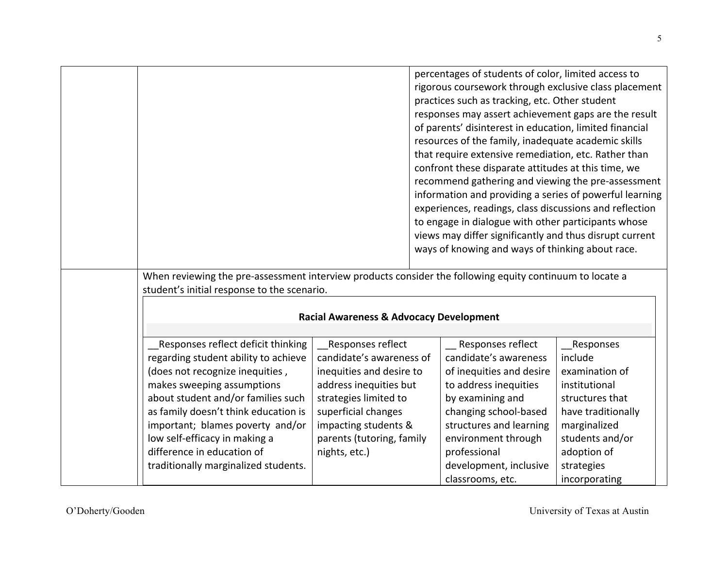|                                                                                                                                                                                                                                                                                                                                                                      |                                                                                                                                                                                                                           | percentages of students of color, limited access to<br>rigorous coursework through exclusive class placement<br>practices such as tracking, etc. Other student<br>responses may assert achievement gaps are the result<br>of parents' disinterest in education, limited financial<br>resources of the family, inadequate academic skills<br>that require extensive remediation, etc. Rather than<br>confront these disparate attitudes at this time, we |                                                                                                                                                                                   |
|----------------------------------------------------------------------------------------------------------------------------------------------------------------------------------------------------------------------------------------------------------------------------------------------------------------------------------------------------------------------|---------------------------------------------------------------------------------------------------------------------------------------------------------------------------------------------------------------------------|---------------------------------------------------------------------------------------------------------------------------------------------------------------------------------------------------------------------------------------------------------------------------------------------------------------------------------------------------------------------------------------------------------------------------------------------------------|-----------------------------------------------------------------------------------------------------------------------------------------------------------------------------------|
|                                                                                                                                                                                                                                                                                                                                                                      |                                                                                                                                                                                                                           | recommend gathering and viewing the pre-assessment<br>information and providing a series of powerful learning<br>experiences, readings, class discussions and reflection<br>to engage in dialogue with other participants whose<br>views may differ significantly and thus disrupt current<br>ways of knowing and ways of thinking about race.                                                                                                          |                                                                                                                                                                                   |
| When reviewing the pre-assessment interview products consider the following equity continuum to locate a<br>student's initial response to the scenario.                                                                                                                                                                                                              | <b>Racial Awareness &amp; Advocacy Development</b>                                                                                                                                                                        |                                                                                                                                                                                                                                                                                                                                                                                                                                                         |                                                                                                                                                                                   |
| Responses reflect deficit thinking<br>regarding student ability to achieve<br>(does not recognize inequities,<br>makes sweeping assumptions<br>about student and/or families such<br>as family doesn't think education is<br>important; blames poverty and/or<br>low self-efficacy in making a<br>difference in education of<br>traditionally marginalized students. | Responses reflect<br>candidate's awareness of<br>inequities and desire to<br>address inequities but<br>strategies limited to<br>superficial changes<br>impacting students &<br>parents (tutoring, family<br>nights, etc.) | Responses reflect<br>candidate's awareness<br>of inequities and desire<br>to address inequities<br>by examining and<br>changing school-based<br>structures and learning<br>environment through<br>professional<br>development, inclusive<br>classrooms, etc.                                                                                                                                                                                            | Responses<br>include<br>examination of<br>institutional<br>structures that<br>have traditionally<br>marginalized<br>students and/or<br>adoption of<br>strategies<br>incorporating |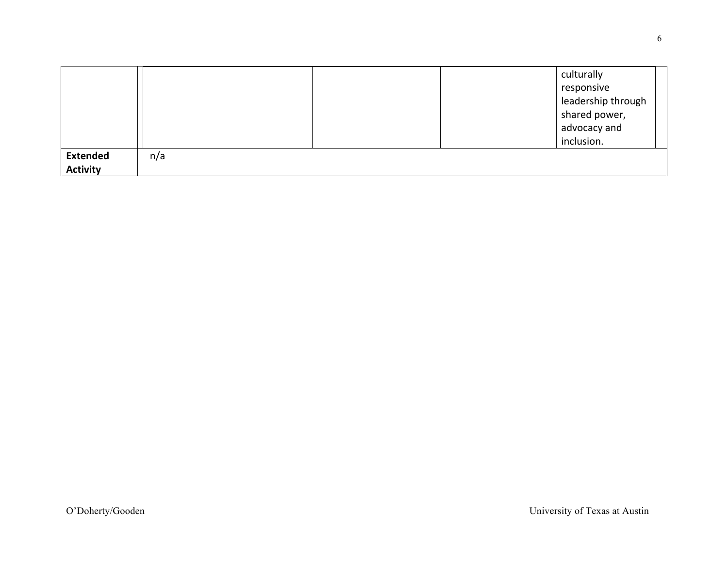|                 |     |  | culturally         |  |
|-----------------|-----|--|--------------------|--|
|                 |     |  | responsive         |  |
|                 |     |  | leadership through |  |
|                 |     |  | shared power,      |  |
|                 |     |  | advocacy and       |  |
|                 |     |  | inclusion.         |  |
| <b>Extended</b> | n/a |  |                    |  |
| <b>Activity</b> |     |  |                    |  |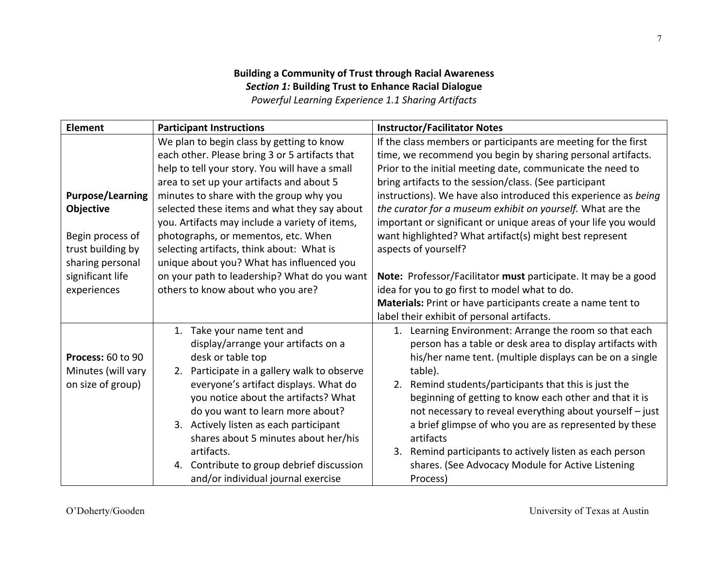### **Building a Community of Trust through Racial Awareness Section 1: Building Trust to Enhance Racial Dialogue Powerful Learning Experience 1.1 Sharing Artifacts**

| Element                 | <b>Participant Instructions</b>                | <b>Instructor/Facilitator Notes</b>                             |
|-------------------------|------------------------------------------------|-----------------------------------------------------------------|
|                         | We plan to begin class by getting to know      | If the class members or participants are meeting for the first  |
|                         | each other. Please bring 3 or 5 artifacts that | time, we recommend you begin by sharing personal artifacts.     |
|                         | help to tell your story. You will have a small | Prior to the initial meeting date, communicate the need to      |
|                         | area to set up your artifacts and about 5      | bring artifacts to the session/class. (See participant          |
| <b>Purpose/Learning</b> | minutes to share with the group why you        | instructions). We have also introduced this experience as being |
| <b>Objective</b>        | selected these items and what they say about   | the curator for a museum exhibit on yourself. What are the      |
|                         | you. Artifacts may include a variety of items, | important or significant or unique areas of your life you would |
| Begin process of        | photographs, or mementos, etc. When            | want highlighted? What artifact(s) might best represent         |
| trust building by       | selecting artifacts, think about: What is      | aspects of yourself?                                            |
| sharing personal        | unique about you? What has influenced you      |                                                                 |
| significant life        | on your path to leadership? What do you want   | Note: Professor/Facilitator must participate. It may be a good  |
| experiences             | others to know about who you are?              | idea for you to go first to model what to do.                   |
|                         |                                                | Materials: Print or have participants create a name tent to     |
|                         |                                                | label their exhibit of personal artifacts.                      |
|                         | 1. Take your name tent and                     | 1. Learning Environment: Arrange the room so that each          |
|                         | display/arrange your artifacts on a            | person has a table or desk area to display artifacts with       |
| Process: 60 to 90       | desk or table top                              | his/her name tent. (multiple displays can be on a single        |
| Minutes (will vary      | 2. Participate in a gallery walk to observe    | table).                                                         |
| on size of group)       | everyone's artifact displays. What do          | 2. Remind students/participants that this is just the           |
|                         | you notice about the artifacts? What           | beginning of getting to know each other and that it is          |
|                         | do you want to learn more about?               | not necessary to reveal everything about yourself - just        |
|                         | 3. Actively listen as each participant         | a brief glimpse of who you are as represented by these          |
|                         | shares about 5 minutes about her/his           | artifacts                                                       |
|                         | artifacts.                                     | 3. Remind participants to actively listen as each person        |
|                         | 4. Contribute to group debrief discussion      | shares. (See Advocacy Module for Active Listening               |
|                         | and/or individual journal exercise             | Process)                                                        |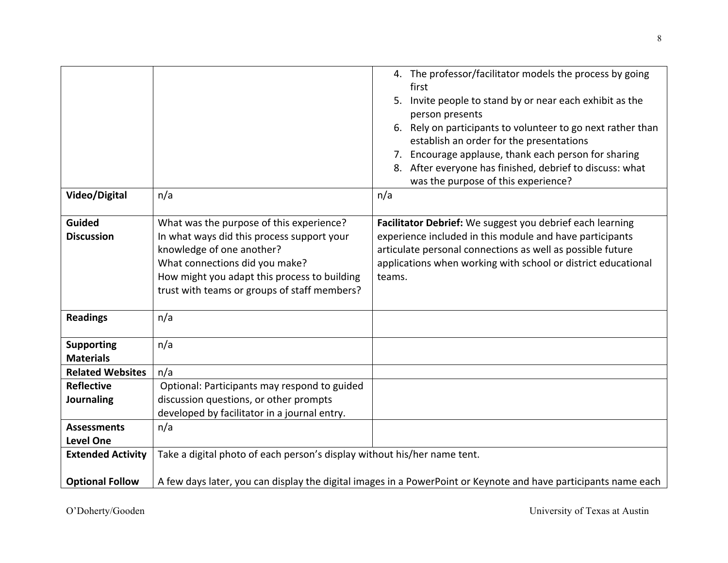|                                                    |                                                                                                                                                                                                                                                       | 4. The professor/facilitator models the process by going<br>first<br>Invite people to stand by or near each exhibit as the<br>5.<br>person presents<br>Rely on participants to volunteer to go next rather than<br>6.<br>establish an order for the presentations<br>7. Encourage applause, thank each person for sharing<br>8. After everyone has finished, debrief to discuss: what<br>was the purpose of this experience? |
|----------------------------------------------------|-------------------------------------------------------------------------------------------------------------------------------------------------------------------------------------------------------------------------------------------------------|------------------------------------------------------------------------------------------------------------------------------------------------------------------------------------------------------------------------------------------------------------------------------------------------------------------------------------------------------------------------------------------------------------------------------|
| Video/Digital                                      | n/a                                                                                                                                                                                                                                                   | n/a                                                                                                                                                                                                                                                                                                                                                                                                                          |
| <b>Guided</b><br><b>Discussion</b>                 | What was the purpose of this experience?<br>In what ways did this process support your<br>knowledge of one another?<br>What connections did you make?<br>How might you adapt this process to building<br>trust with teams or groups of staff members? | Facilitator Debrief: We suggest you debrief each learning<br>experience included in this module and have participants<br>articulate personal connections as well as possible future<br>applications when working with school or district educational<br>teams.                                                                                                                                                               |
| <b>Readings</b>                                    | n/a                                                                                                                                                                                                                                                   |                                                                                                                                                                                                                                                                                                                                                                                                                              |
| <b>Supporting</b><br><b>Materials</b>              | n/a                                                                                                                                                                                                                                                   |                                                                                                                                                                                                                                                                                                                                                                                                                              |
| <b>Related Websites</b>                            | n/a                                                                                                                                                                                                                                                   |                                                                                                                                                                                                                                                                                                                                                                                                                              |
| <b>Reflective</b>                                  | Optional: Participants may respond to guided                                                                                                                                                                                                          |                                                                                                                                                                                                                                                                                                                                                                                                                              |
| Journaling                                         | discussion questions, or other prompts                                                                                                                                                                                                                |                                                                                                                                                                                                                                                                                                                                                                                                                              |
|                                                    | developed by facilitator in a journal entry.                                                                                                                                                                                                          |                                                                                                                                                                                                                                                                                                                                                                                                                              |
| <b>Assessments</b>                                 | n/a                                                                                                                                                                                                                                                   |                                                                                                                                                                                                                                                                                                                                                                                                                              |
| <b>Level One</b>                                   |                                                                                                                                                                                                                                                       |                                                                                                                                                                                                                                                                                                                                                                                                                              |
| <b>Extended Activity</b><br><b>Optional Follow</b> | Take a digital photo of each person's display without his/her name tent.                                                                                                                                                                              | A few days later, you can display the digital images in a PowerPoint or Keynote and have participants name each                                                                                                                                                                                                                                                                                                              |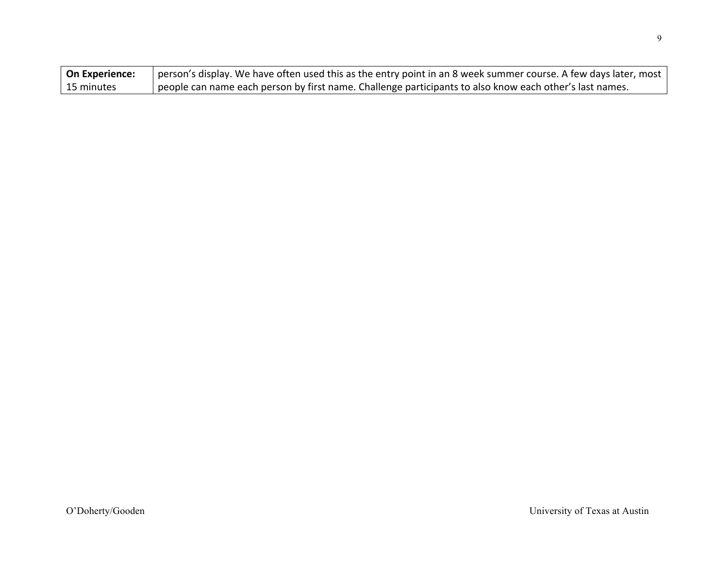| On Experience: | person's display. We have often used this as the entry point in an 8 week summer course. A few days later, most |
|----------------|-----------------------------------------------------------------------------------------------------------------|
| 15 minutes     | people can name each person by first name. Challenge participants to also know each other's last names.         |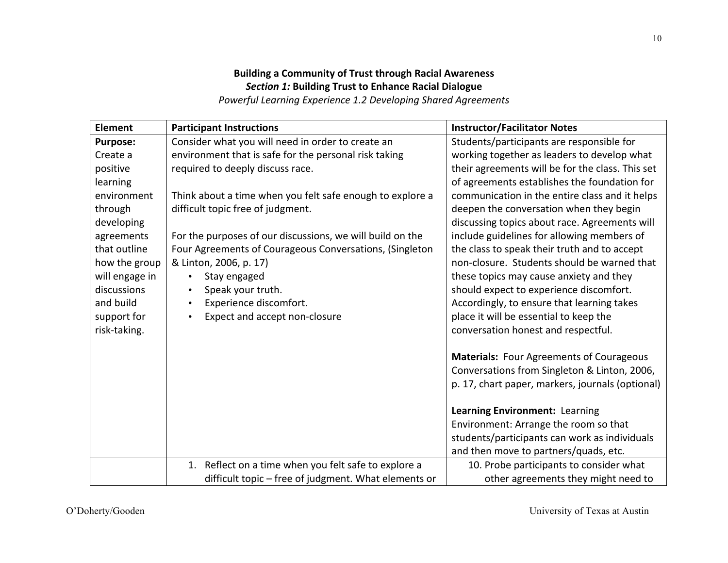### **Building a Community of Trust through Racial Awareness Section 1: Building Trust to Enhance Racial Dialogue Powerful Learning Experience 1.2 Developing Shared Agreements**

| <b>Element</b>  | <b>Participant Instructions</b>                           | <b>Instructor/Facilitator Notes</b>              |
|-----------------|-----------------------------------------------------------|--------------------------------------------------|
| <b>Purpose:</b> | Consider what you will need in order to create an         | Students/participants are responsible for        |
| Create a        | environment that is safe for the personal risk taking     | working together as leaders to develop what      |
| positive        | required to deeply discuss race.                          | their agreements will be for the class. This set |
| learning        |                                                           | of agreements establishes the foundation for     |
| environment     | Think about a time when you felt safe enough to explore a | communication in the entire class and it helps   |
| through         | difficult topic free of judgment.                         | deepen the conversation when they begin          |
| developing      |                                                           | discussing topics about race. Agreements will    |
| agreements      | For the purposes of our discussions, we will build on the | include guidelines for allowing members of       |
| that outline    | Four Agreements of Courageous Conversations, (Singleton   | the class to speak their truth and to accept     |
| how the group   | & Linton, 2006, p. 17)                                    | non-closure. Students should be warned that      |
| will engage in  | Stay engaged<br>$\bullet$                                 | these topics may cause anxiety and they          |
| discussions     | Speak your truth.                                         | should expect to experience discomfort.          |
| and build       | Experience discomfort.<br>$\bullet$                       | Accordingly, to ensure that learning takes       |
| support for     | Expect and accept non-closure<br>$\bullet$                | place it will be essential to keep the           |
| risk-taking.    |                                                           | conversation honest and respectful.              |
|                 |                                                           | <b>Materials: Four Agreements of Courageous</b>  |
|                 |                                                           | Conversations from Singleton & Linton, 2006,     |
|                 |                                                           | p. 17, chart paper, markers, journals (optional) |
|                 |                                                           | Learning Environment: Learning                   |
|                 |                                                           | Environment: Arrange the room so that            |
|                 |                                                           | students/participants can work as individuals    |
|                 |                                                           | and then move to partners/quads, etc.            |
|                 | 1. Reflect on a time when you felt safe to explore a      | 10. Probe participants to consider what          |
|                 | difficult topic - free of judgment. What elements or      | other agreements they might need to              |

10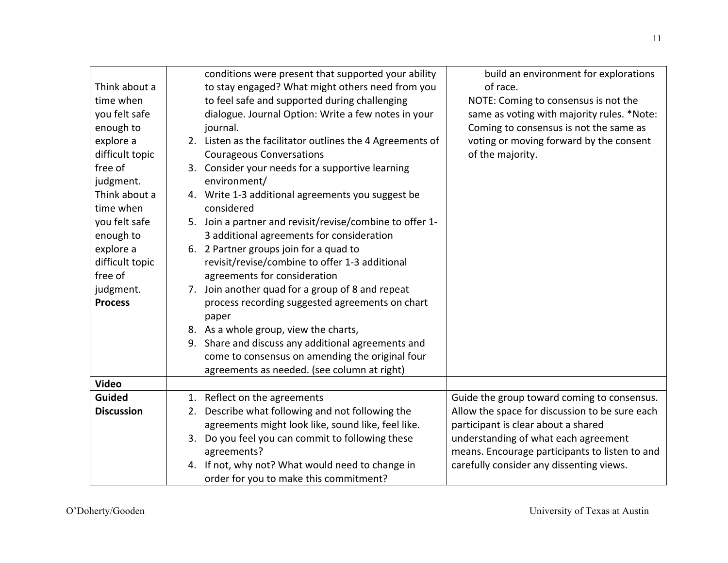|                   | conditions were present that supported your ability       | build an environment for explorations          |
|-------------------|-----------------------------------------------------------|------------------------------------------------|
| Think about a     | to stay engaged? What might others need from you          | of race.                                       |
| time when         | to feel safe and supported during challenging             | NOTE: Coming to consensus is not the           |
| you felt safe     | dialogue. Journal Option: Write a few notes in your       | same as voting with majority rules. *Note:     |
| enough to         | journal.                                                  | Coming to consensus is not the same as         |
| explore a         | 2. Listen as the facilitator outlines the 4 Agreements of | voting or moving forward by the consent        |
| difficult topic   | <b>Courageous Conversations</b>                           | of the majority.                               |
| free of           | 3. Consider your needs for a supportive learning          |                                                |
| judgment.         | environment/                                              |                                                |
| Think about a     | 4. Write 1-3 additional agreements you suggest be         |                                                |
| time when         | considered                                                |                                                |
| you felt safe     | 5. Join a partner and revisit/revise/combine to offer 1-  |                                                |
| enough to         | 3 additional agreements for consideration                 |                                                |
| explore a         | 6. 2 Partner groups join for a quad to                    |                                                |
| difficult topic   | revisit/revise/combine to offer 1-3 additional            |                                                |
| free of           | agreements for consideration                              |                                                |
| judgment.         | 7. Join another quad for a group of 8 and repeat          |                                                |
| <b>Process</b>    | process recording suggested agreements on chart           |                                                |
|                   | paper                                                     |                                                |
|                   | 8. As a whole group, view the charts,                     |                                                |
|                   | 9. Share and discuss any additional agreements and        |                                                |
|                   | come to consensus on amending the original four           |                                                |
|                   | agreements as needed. (see column at right)               |                                                |
| <b>Video</b>      |                                                           |                                                |
| <b>Guided</b>     | 1. Reflect on the agreements                              | Guide the group toward coming to consensus.    |
| <b>Discussion</b> | Describe what following and not following the<br>2.       | Allow the space for discussion to be sure each |
|                   | agreements might look like, sound like, feel like.        | participant is clear about a shared            |
|                   | 3. Do you feel you can commit to following these          | understanding of what each agreement           |
|                   | agreements?                                               | means. Encourage participants to listen to and |
|                   | 4. If not, why not? What would need to change in          | carefully consider any dissenting views.       |
|                   | order for you to make this commitment?                    |                                                |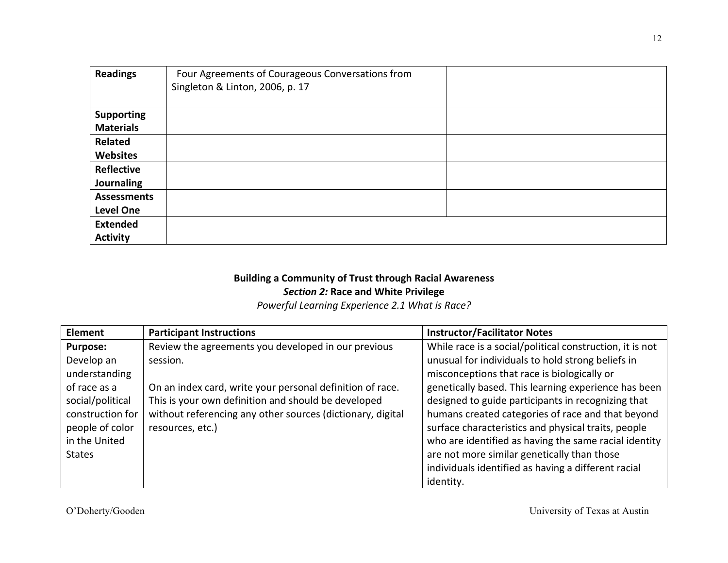| <b>Readings</b>    | Four Agreements of Courageous Conversations from<br>Singleton & Linton, 2006, p. 17 |  |
|--------------------|-------------------------------------------------------------------------------------|--|
| <b>Supporting</b>  |                                                                                     |  |
| <b>Materials</b>   |                                                                                     |  |
| <b>Related</b>     |                                                                                     |  |
| <b>Websites</b>    |                                                                                     |  |
| Reflective         |                                                                                     |  |
| Journaling         |                                                                                     |  |
| <b>Assessments</b> |                                                                                     |  |
| <b>Level One</b>   |                                                                                     |  |
| <b>Extended</b>    |                                                                                     |  |
| <b>Activity</b>    |                                                                                     |  |

### **Building a Community of Trust through Racial Awareness Section 2: Race and White Privilege**

Powerful Learning Experience 2.1 What is Race?

| Element          | <b>Participant Instructions</b>                            | <b>Instructor/Facilitator Notes</b>                      |
|------------------|------------------------------------------------------------|----------------------------------------------------------|
| <b>Purpose:</b>  | Review the agreements you developed in our previous        | While race is a social/political construction, it is not |
| Develop an       | session.                                                   | unusual for individuals to hold strong beliefs in        |
| understanding    |                                                            | misconceptions that race is biologically or              |
| of race as a     | On an index card, write your personal definition of race.  | genetically based. This learning experience has been     |
| social/political | This is your own definition and should be developed        | designed to guide participants in recognizing that       |
| construction for | without referencing any other sources (dictionary, digital | humans created categories of race and that beyond        |
| people of color  | resources, etc.)                                           | surface characteristics and physical traits, people      |
| in the United    |                                                            | who are identified as having the same racial identity    |
| <b>States</b>    |                                                            | are not more similar genetically than those              |
|                  |                                                            | individuals identified as having a different racial      |
|                  |                                                            | identity.                                                |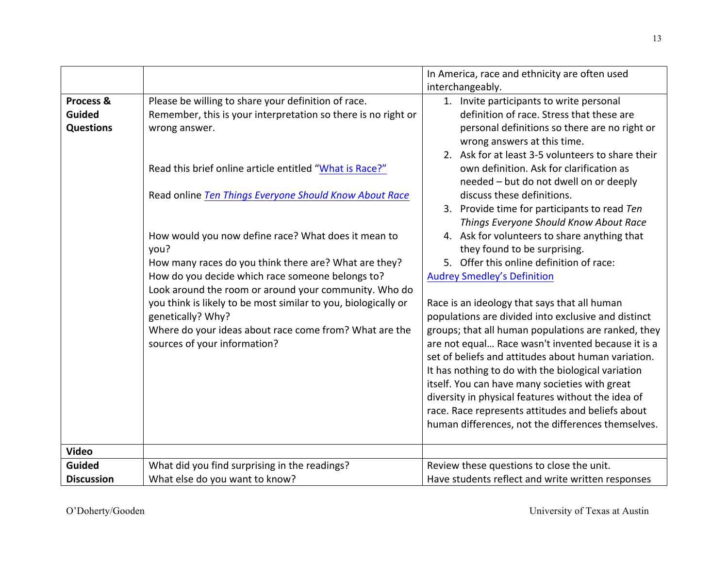|                                                |                                                                                                                                                                                                                                                                                                                                                                                                                                                                                                                                                                                                                                                                                  | In America, race and ethnicity are often used                                                                                                                                                                                                                                                                                                                                                                                                                                                                                                                                                                                                                                                                                                                                                                                                                                                                                                                                                                                                                                                                                                                  |
|------------------------------------------------|----------------------------------------------------------------------------------------------------------------------------------------------------------------------------------------------------------------------------------------------------------------------------------------------------------------------------------------------------------------------------------------------------------------------------------------------------------------------------------------------------------------------------------------------------------------------------------------------------------------------------------------------------------------------------------|----------------------------------------------------------------------------------------------------------------------------------------------------------------------------------------------------------------------------------------------------------------------------------------------------------------------------------------------------------------------------------------------------------------------------------------------------------------------------------------------------------------------------------------------------------------------------------------------------------------------------------------------------------------------------------------------------------------------------------------------------------------------------------------------------------------------------------------------------------------------------------------------------------------------------------------------------------------------------------------------------------------------------------------------------------------------------------------------------------------------------------------------------------------|
|                                                |                                                                                                                                                                                                                                                                                                                                                                                                                                                                                                                                                                                                                                                                                  | interchangeably.                                                                                                                                                                                                                                                                                                                                                                                                                                                                                                                                                                                                                                                                                                                                                                                                                                                                                                                                                                                                                                                                                                                                               |
| Process &<br><b>Guided</b><br><b>Questions</b> | Please be willing to share your definition of race.<br>Remember, this is your interpretation so there is no right or<br>wrong answer.<br>Read this brief online article entitled "What is Race?"<br>Read online Ten Things Everyone Should Know About Race<br>How would you now define race? What does it mean to<br>you?<br>How many races do you think there are? What are they?<br>How do you decide which race someone belongs to?<br>Look around the room or around your community. Who do<br>you think is likely to be most similar to you, biologically or<br>genetically? Why?<br>Where do your ideas about race come from? What are the<br>sources of your information? | 1. Invite participants to write personal<br>definition of race. Stress that these are<br>personal definitions so there are no right or<br>wrong answers at this time.<br>2. Ask for at least 3-5 volunteers to share their<br>own definition. Ask for clarification as<br>needed - but do not dwell on or deeply<br>discuss these definitions.<br>3. Provide time for participants to read Ten<br>Things Everyone Should Know About Race<br>4. Ask for volunteers to share anything that<br>they found to be surprising.<br>5. Offer this online definition of race:<br><b>Audrey Smedley's Definition</b><br>Race is an ideology that says that all human<br>populations are divided into exclusive and distinct<br>groups; that all human populations are ranked, they<br>are not equal Race wasn't invented because it is a<br>set of beliefs and attitudes about human variation.<br>It has nothing to do with the biological variation<br>itself. You can have many societies with great<br>diversity in physical features without the idea of<br>race. Race represents attitudes and beliefs about<br>human differences, not the differences themselves. |
| <b>Video</b>                                   |                                                                                                                                                                                                                                                                                                                                                                                                                                                                                                                                                                                                                                                                                  |                                                                                                                                                                                                                                                                                                                                                                                                                                                                                                                                                                                                                                                                                                                                                                                                                                                                                                                                                                                                                                                                                                                                                                |
| <b>Guided</b>                                  | What did you find surprising in the readings?                                                                                                                                                                                                                                                                                                                                                                                                                                                                                                                                                                                                                                    | Review these questions to close the unit.                                                                                                                                                                                                                                                                                                                                                                                                                                                                                                                                                                                                                                                                                                                                                                                                                                                                                                                                                                                                                                                                                                                      |
|                                                |                                                                                                                                                                                                                                                                                                                                                                                                                                                                                                                                                                                                                                                                                  |                                                                                                                                                                                                                                                                                                                                                                                                                                                                                                                                                                                                                                                                                                                                                                                                                                                                                                                                                                                                                                                                                                                                                                |
| <b>Discussion</b>                              | What else do you want to know?                                                                                                                                                                                                                                                                                                                                                                                                                                                                                                                                                                                                                                                   | Have students reflect and write written responses                                                                                                                                                                                                                                                                                                                                                                                                                                                                                                                                                                                                                                                                                                                                                                                                                                                                                                                                                                                                                                                                                                              |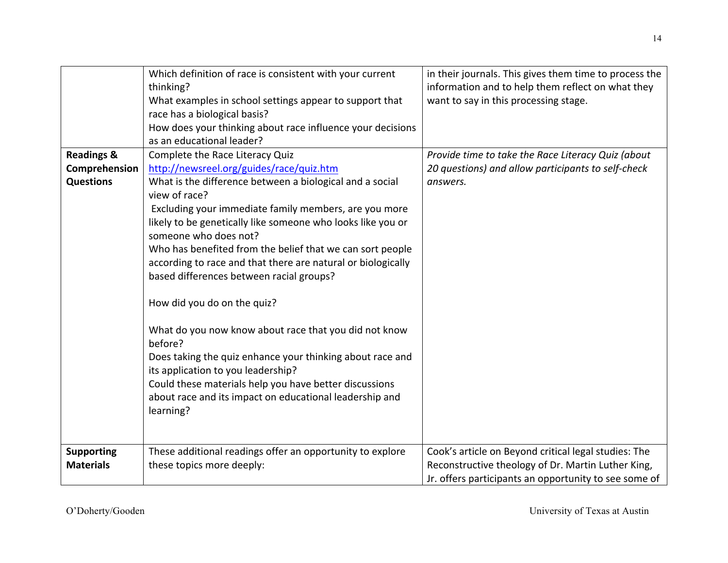|                       | Which definition of race is consistent with your current     | in their journals. This gives them time to process the |
|-----------------------|--------------------------------------------------------------|--------------------------------------------------------|
|                       | thinking?                                                    | information and to help them reflect on what they      |
|                       | What examples in school settings appear to support that      | want to say in this processing stage.                  |
|                       | race has a biological basis?                                 |                                                        |
|                       | How does your thinking about race influence your decisions   |                                                        |
|                       | as an educational leader?                                    |                                                        |
| <b>Readings &amp;</b> | Complete the Race Literacy Quiz                              | Provide time to take the Race Literacy Quiz (about     |
| Comprehension         | http://newsreel.org/guides/race/quiz.htm                     | 20 questions) and allow participants to self-check     |
| <b>Questions</b>      | What is the difference between a biological and a social     | answers.                                               |
|                       | view of race?                                                |                                                        |
|                       | Excluding your immediate family members, are you more        |                                                        |
|                       | likely to be genetically like someone who looks like you or  |                                                        |
|                       | someone who does not?                                        |                                                        |
|                       | Who has benefited from the belief that we can sort people    |                                                        |
|                       | according to race and that there are natural or biologically |                                                        |
|                       | based differences between racial groups?                     |                                                        |
|                       |                                                              |                                                        |
|                       | How did you do on the quiz?                                  |                                                        |
|                       |                                                              |                                                        |
|                       | What do you now know about race that you did not know        |                                                        |
|                       | before?                                                      |                                                        |
|                       | Does taking the quiz enhance your thinking about race and    |                                                        |
|                       | its application to you leadership?                           |                                                        |
|                       | Could these materials help you have better discussions       |                                                        |
|                       | about race and its impact on educational leadership and      |                                                        |
|                       | learning?                                                    |                                                        |
|                       |                                                              |                                                        |
|                       |                                                              |                                                        |
| <b>Supporting</b>     | These additional readings offer an opportunity to explore    | Cook's article on Beyond critical legal studies: The   |
| <b>Materials</b>      | these topics more deeply:                                    | Reconstructive theology of Dr. Martin Luther King,     |
|                       |                                                              | Jr. offers participants an opportunity to see some of  |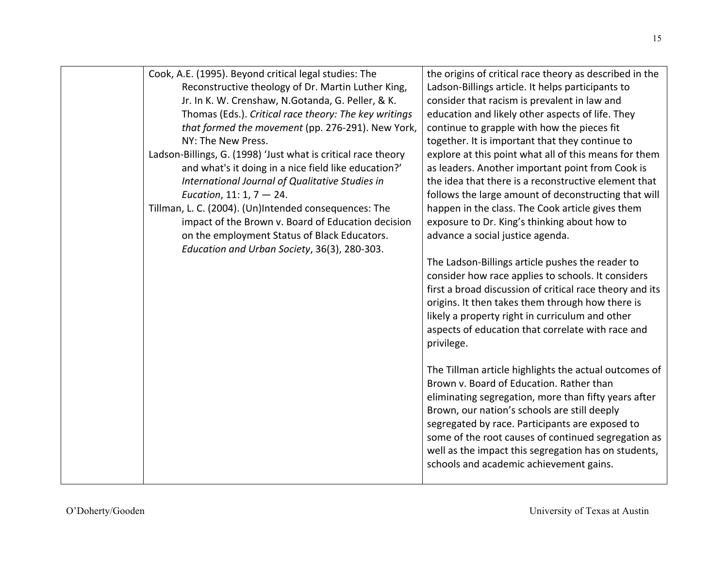| Cook, A.E. (1995). Beyond critical legal studies: The         | the origins of critical race theory as described in the  |
|---------------------------------------------------------------|----------------------------------------------------------|
| Reconstructive theology of Dr. Martin Luther King,            | Ladson-Billings article. It helps participants to        |
| Jr. In K. W. Crenshaw, N.Gotanda, G. Peller, & K.             | consider that racism is prevalent in law and             |
| Thomas (Eds.). Critical race theory: The key writings         | education and likely other aspects of life. They         |
| that formed the movement (pp. 276-291). New York,             | continue to grapple with how the pieces fit              |
| NY: The New Press.                                            | together. It is important that they continue to          |
| Ladson-Billings, G. (1998) 'Just what is critical race theory | explore at this point what all of this means for them    |
| and what's it doing in a nice field like education?'          | as leaders. Another important point from Cook is         |
| International Journal of Qualitative Studies in               | the idea that there is a reconstructive element that     |
| Eucation, 11: 1, $7 - 24$ .                                   | follows the large amount of deconstructing that will     |
| Tillman, L. C. (2004). (Un)Intended consequences: The         | happen in the class. The Cook article gives them         |
| impact of the Brown v. Board of Education decision            | exposure to Dr. King's thinking about how to             |
| on the employment Status of Black Educators.                  | advance a social justice agenda.                         |
| Education and Urban Society, 36(3), 280-303.                  |                                                          |
|                                                               | The Ladson-Billings article pushes the reader to         |
|                                                               | consider how race applies to schools. It considers       |
|                                                               | first a broad discussion of critical race theory and its |
|                                                               | origins. It then takes them through how there is         |
|                                                               | likely a property right in curriculum and other          |
|                                                               | aspects of education that correlate with race and        |
|                                                               | privilege.                                               |
|                                                               |                                                          |
|                                                               | The Tillman article highlights the actual outcomes of    |
|                                                               | Brown v. Board of Education. Rather than                 |
|                                                               | eliminating segregation, more than fifty years after     |
|                                                               | Brown, our nation's schools are still deeply             |
|                                                               | segregated by race. Participants are exposed to          |
|                                                               | some of the root causes of continued segregation as      |
|                                                               | well as the impact this segregation has on students,     |
|                                                               | schools and academic achievement gains.                  |
|                                                               |                                                          |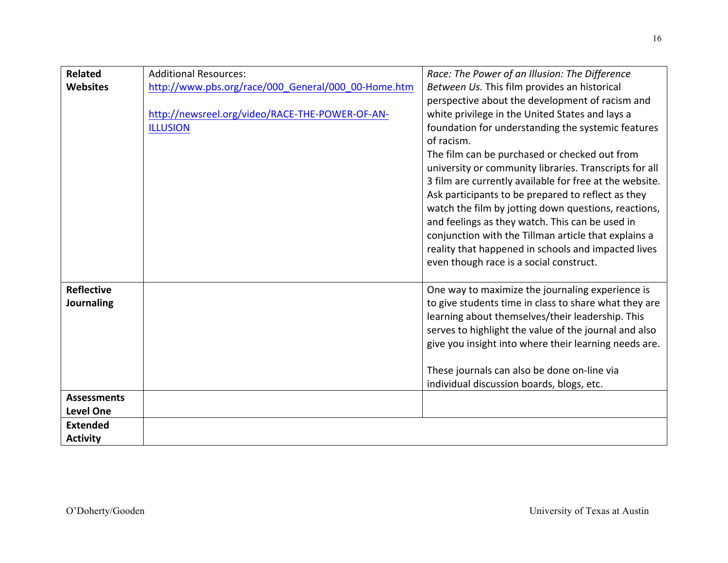| <b>Related</b>     | <b>Additional Resources:</b>                        | Race: The Power of an Illusion: The Difference          |
|--------------------|-----------------------------------------------------|---------------------------------------------------------|
| <b>Websites</b>    | http://www.pbs.org/race/000_General/000_00-Home.htm | Between Us. This film provides an historical            |
|                    |                                                     | perspective about the development of racism and         |
|                    | http://newsreel.org/video/RACE-THE-POWER-OF-AN-     | white privilege in the United States and lays a         |
|                    | <b>ILLUSION</b>                                     | foundation for understanding the systemic features      |
|                    |                                                     | of racism.                                              |
|                    |                                                     | The film can be purchased or checked out from           |
|                    |                                                     | university or community libraries. Transcripts for all  |
|                    |                                                     | 3 film are currently available for free at the website. |
|                    |                                                     | Ask participants to be prepared to reflect as they      |
|                    |                                                     | watch the film by jotting down questions, reactions,    |
|                    |                                                     | and feelings as they watch. This can be used in         |
|                    |                                                     | conjunction with the Tillman article that explains a    |
|                    |                                                     | reality that happened in schools and impacted lives     |
|                    |                                                     | even though race is a social construct.                 |
|                    |                                                     |                                                         |
| <b>Reflective</b>  |                                                     | One way to maximize the journaling experience is        |
| Journaling         |                                                     | to give students time in class to share what they are   |
|                    |                                                     | learning about themselves/their leadership. This        |
|                    |                                                     | serves to highlight the value of the journal and also   |
|                    |                                                     | give you insight into where their learning needs are.   |
|                    |                                                     |                                                         |
|                    |                                                     | These journals can also be done on-line via             |
|                    |                                                     | individual discussion boards, blogs, etc.               |
| <b>Assessments</b> |                                                     |                                                         |
| <b>Level One</b>   |                                                     |                                                         |
| <b>Extended</b>    |                                                     |                                                         |
| <b>Activity</b>    |                                                     |                                                         |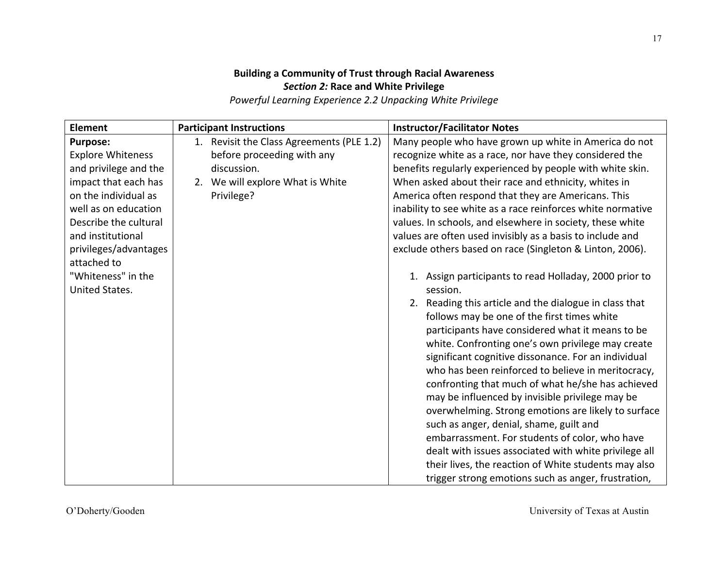# **Building a Community of Trust through Racial Awareness Section 2: Race and White Privilege**

**Powerful Learning Experience 2.2 Unpacking White Privilege** 

| <b>Element</b>                                                                                                                                                                                                                                                             | <b>Participant Instructions</b>                                                                                                          | <b>Instructor/Facilitator Notes</b>                                                                                                                                                                                                                                                                                                                                                                                                                                                                                                                                                                                                                                                                                                                                                                                                                                                                                                                                                                                                                                                                                                                                                                                                                                                                                                                                                        |
|----------------------------------------------------------------------------------------------------------------------------------------------------------------------------------------------------------------------------------------------------------------------------|------------------------------------------------------------------------------------------------------------------------------------------|--------------------------------------------------------------------------------------------------------------------------------------------------------------------------------------------------------------------------------------------------------------------------------------------------------------------------------------------------------------------------------------------------------------------------------------------------------------------------------------------------------------------------------------------------------------------------------------------------------------------------------------------------------------------------------------------------------------------------------------------------------------------------------------------------------------------------------------------------------------------------------------------------------------------------------------------------------------------------------------------------------------------------------------------------------------------------------------------------------------------------------------------------------------------------------------------------------------------------------------------------------------------------------------------------------------------------------------------------------------------------------------------|
| <b>Purpose:</b><br><b>Explore Whiteness</b><br>and privilege and the<br>impact that each has<br>on the individual as<br>well as on education<br>Describe the cultural<br>and institutional<br>privileges/advantages<br>attached to<br>"Whiteness" in the<br>United States. | 1. Revisit the Class Agreements (PLE 1.2)<br>before proceeding with any<br>discussion.<br>2. We will explore What is White<br>Privilege? | Many people who have grown up white in America do not<br>recognize white as a race, nor have they considered the<br>benefits regularly experienced by people with white skin.<br>When asked about their race and ethnicity, whites in<br>America often respond that they are Americans. This<br>inability to see white as a race reinforces white normative<br>values. In schools, and elsewhere in society, these white<br>values are often used invisibly as a basis to include and<br>exclude others based on race (Singleton & Linton, 2006).<br>1. Assign participants to read Holladay, 2000 prior to<br>session.<br>2. Reading this article and the dialogue in class that<br>follows may be one of the first times white<br>participants have considered what it means to be<br>white. Confronting one's own privilege may create<br>significant cognitive dissonance. For an individual<br>who has been reinforced to believe in meritocracy,<br>confronting that much of what he/she has achieved<br>may be influenced by invisible privilege may be<br>overwhelming. Strong emotions are likely to surface<br>such as anger, denial, shame, guilt and<br>embarrassment. For students of color, who have<br>dealt with issues associated with white privilege all<br>their lives, the reaction of White students may also<br>trigger strong emotions such as anger, frustration, |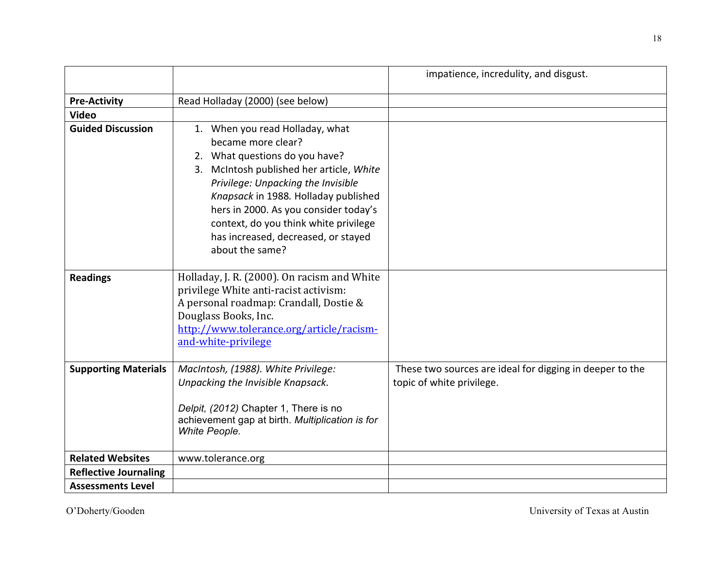|                              |                                                                                                                                                                                                                                                                                                                                                               | impatience, incredulity, and disgust.                                                 |
|------------------------------|---------------------------------------------------------------------------------------------------------------------------------------------------------------------------------------------------------------------------------------------------------------------------------------------------------------------------------------------------------------|---------------------------------------------------------------------------------------|
| <b>Pre-Activity</b>          | Read Holladay (2000) (see below)                                                                                                                                                                                                                                                                                                                              |                                                                                       |
| <b>Video</b>                 |                                                                                                                                                                                                                                                                                                                                                               |                                                                                       |
| <b>Guided Discussion</b>     | 1. When you read Holladay, what<br>became more clear?<br>2. What questions do you have?<br>3. McIntosh published her article, White<br>Privilege: Unpacking the Invisible<br>Knapsack in 1988. Holladay published<br>hers in 2000. As you consider today's<br>context, do you think white privilege<br>has increased, decreased, or stayed<br>about the same? |                                                                                       |
| <b>Readings</b>              | Holladay, J. R. (2000). On racism and White<br>privilege White anti-racist activism:<br>A personal roadmap: Crandall, Dostie &<br>Douglass Books, Inc.<br>http://www.tolerance.org/article/racism-<br>and-white-privilege                                                                                                                                     |                                                                                       |
| <b>Supporting Materials</b>  | MacIntosh, (1988). White Privilege:<br>Unpacking the Invisible Knapsack.<br>Delpit, (2012) Chapter 1, There is no<br>achievement gap at birth. Multiplication is for<br>White People.                                                                                                                                                                         | These two sources are ideal for digging in deeper to the<br>topic of white privilege. |
| <b>Related Websites</b>      | www.tolerance.org                                                                                                                                                                                                                                                                                                                                             |                                                                                       |
| <b>Reflective Journaling</b> |                                                                                                                                                                                                                                                                                                                                                               |                                                                                       |
| <b>Assessments Level</b>     |                                                                                                                                                                                                                                                                                                                                                               |                                                                                       |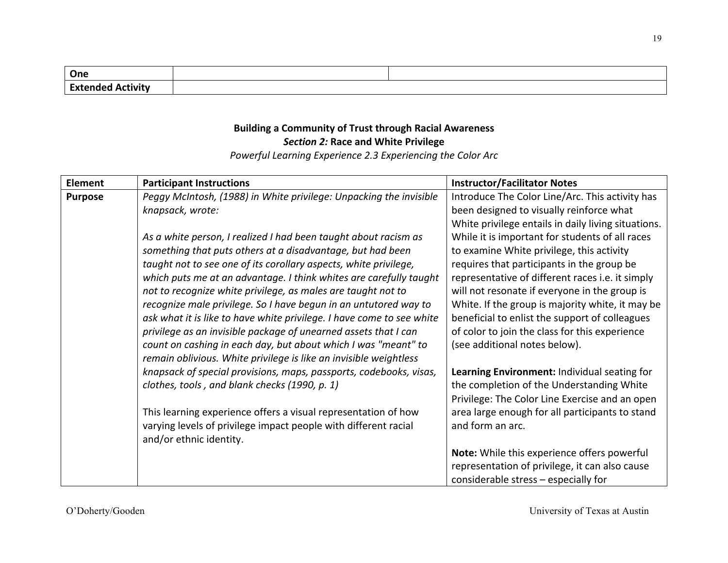| One                                  |  |
|--------------------------------------|--|
| <b>Fx1</b><br>. .<br>ctivit<br>andad |  |

## **Building a Community of Trust through Racial Awareness Section 2: Race and White Privilege**

Powerful Learning Experience 2.3 Experiencing the Color Arc

| <b>Element</b> | <b>Participant Instructions</b>                                       | <b>Instructor/Facilitator Notes</b>                 |
|----------------|-----------------------------------------------------------------------|-----------------------------------------------------|
| <b>Purpose</b> | Peggy McIntosh, (1988) in White privilege: Unpacking the invisible    | Introduce The Color Line/Arc. This activity has     |
|                | knapsack, wrote:                                                      | been designed to visually reinforce what            |
|                |                                                                       | White privilege entails in daily living situations. |
|                | As a white person, I realized I had been taught about racism as       | While it is important for students of all races     |
|                | something that puts others at a disadvantage, but had been            | to examine White privilege, this activity           |
|                | taught not to see one of its corollary aspects, white privilege,      | requires that participants in the group be          |
|                | which puts me at an advantage. I think whites are carefully taught    | representative of different races i.e. it simply    |
|                | not to recognize white privilege, as males are taught not to          | will not resonate if everyone in the group is       |
|                | recognize male privilege. So I have begun in an untutored way to      | White. If the group is majority white, it may be    |
|                | ask what it is like to have white privilege. I have come to see white | beneficial to enlist the support of colleagues      |
|                | privilege as an invisible package of unearned assets that I can       | of color to join the class for this experience      |
|                | count on cashing in each day, but about which I was "meant" to        | (see additional notes below).                       |
|                | remain oblivious. White privilege is like an invisible weightless     |                                                     |
|                | knapsack of special provisions, maps, passports, codebooks, visas,    | Learning Environment: Individual seating for        |
|                | clothes, tools, and blank checks (1990, p. 1)                         | the completion of the Understanding White           |
|                |                                                                       | Privilege: The Color Line Exercise and an open      |
|                | This learning experience offers a visual representation of how        | area large enough for all participants to stand     |
|                | varying levels of privilege impact people with different racial       | and form an arc.                                    |
|                | and/or ethnic identity.                                               |                                                     |
|                |                                                                       | Note: While this experience offers powerful         |
|                |                                                                       | representation of privilege, it can also cause      |
|                |                                                                       | considerable stress - especially for                |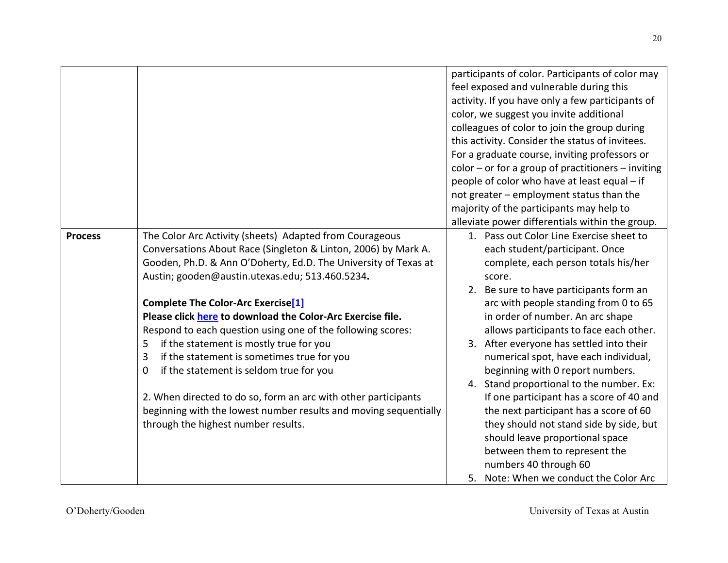|                |                                                                  | participants of color. Participants of color may     |
|----------------|------------------------------------------------------------------|------------------------------------------------------|
|                |                                                                  | feel exposed and vulnerable during this              |
|                |                                                                  | activity. If you have only a few participants of     |
|                |                                                                  | color, we suggest you invite additional              |
|                |                                                                  | colleagues of color to join the group during         |
|                |                                                                  | this activity. Consider the status of invitees.      |
|                |                                                                  | For a graduate course, inviting professors or        |
|                |                                                                  | $color - or for a group of practitioners - inviting$ |
|                |                                                                  | people of color who have at least equal - if         |
|                |                                                                  | not greater - employment status than the             |
|                |                                                                  | majority of the participants may help to             |
|                |                                                                  | alleviate power differentials within the group.      |
| <b>Process</b> | The Color Arc Activity (sheets) Adapted from Courageous          | 1. Pass out Color Line Exercise sheet to             |
|                | Conversations About Race (Singleton & Linton, 2006) by Mark A.   | each student/participant. Once                       |
|                | Gooden, Ph.D. & Ann O'Doherty, Ed.D. The University of Texas at  | complete, each person totals his/her                 |
|                | Austin; gooden@austin.utexas.edu; 513.460.5234.                  | score.                                               |
|                |                                                                  | 2. Be sure to have participants form an              |
|                | <b>Complete The Color-Arc Exercise[1]</b>                        | arc with people standing from 0 to 65                |
|                | Please click here to download the Color-Arc Exercise file.       | in order of number. An arc shape                     |
|                | Respond to each question using one of the following scores:      | allows participants to face each other.              |
|                | if the statement is mostly true for you<br>5                     | 3. After everyone has settled into their             |
|                | if the statement is sometimes true for you<br>3                  | numerical spot, have each individual,                |
|                | if the statement is seldom true for you<br>0                     | beginning with 0 report numbers.                     |
|                |                                                                  | 4. Stand proportional to the number. Ex:             |
|                | 2. When directed to do so, form an arc with other participants   | If one participant has a score of 40 and             |
|                | beginning with the lowest number results and moving sequentially | the next participant has a score of 60               |
|                | through the highest number results.                              | they should not stand side by side, but              |
|                |                                                                  | should leave proportional space                      |
|                |                                                                  | between them to represent the                        |
|                |                                                                  | numbers 40 through 60                                |
|                |                                                                  | 5. Note: When we conduct the Color Arc               |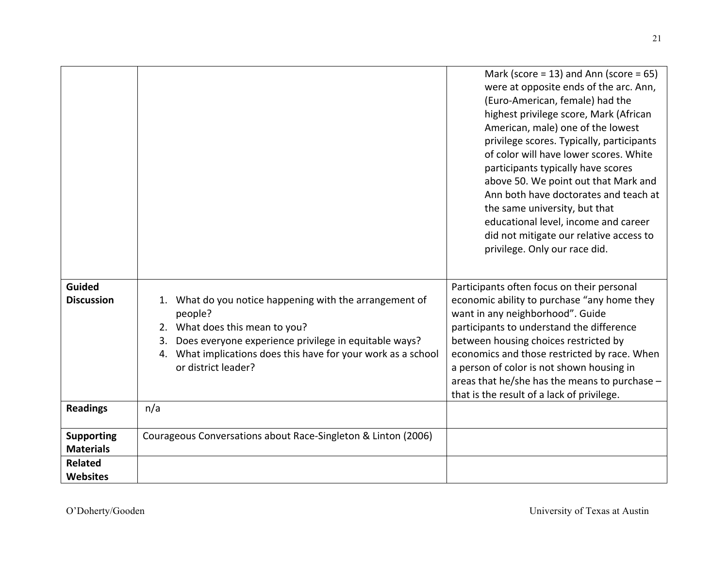|                                    |                                                                  | Mark (score = 13) and Ann (score = $65$ )<br>were at opposite ends of the arc. Ann,<br>(Euro-American, female) had the<br>highest privilege score, Mark (African<br>American, male) one of the lowest<br>privilege scores. Typically, participants<br>of color will have lower scores. White<br>participants typically have scores<br>above 50. We point out that Mark and<br>Ann both have doctorates and teach at<br>the same university, but that<br>educational level, income and career<br>did not mitigate our relative access to<br>privilege. Only our race did. |
|------------------------------------|------------------------------------------------------------------|--------------------------------------------------------------------------------------------------------------------------------------------------------------------------------------------------------------------------------------------------------------------------------------------------------------------------------------------------------------------------------------------------------------------------------------------------------------------------------------------------------------------------------------------------------------------------|
| <b>Guided</b><br><b>Discussion</b> | 1. What do you notice happening with the arrangement of          | Participants often focus on their personal<br>economic ability to purchase "any home they                                                                                                                                                                                                                                                                                                                                                                                                                                                                                |
|                                    | people?                                                          | want in any neighborhood". Guide                                                                                                                                                                                                                                                                                                                                                                                                                                                                                                                                         |
|                                    | 2. What does this mean to you?                                   | participants to understand the difference                                                                                                                                                                                                                                                                                                                                                                                                                                                                                                                                |
|                                    | Does everyone experience privilege in equitable ways?<br>3.      | between housing choices restricted by                                                                                                                                                                                                                                                                                                                                                                                                                                                                                                                                    |
|                                    | What implications does this have for your work as a school<br>4. | economics and those restricted by race. When                                                                                                                                                                                                                                                                                                                                                                                                                                                                                                                             |
|                                    | or district leader?                                              | a person of color is not shown housing in                                                                                                                                                                                                                                                                                                                                                                                                                                                                                                                                |
|                                    |                                                                  | areas that he/she has the means to purchase -<br>that is the result of a lack of privilege.                                                                                                                                                                                                                                                                                                                                                                                                                                                                              |
| <b>Readings</b>                    | n/a                                                              |                                                                                                                                                                                                                                                                                                                                                                                                                                                                                                                                                                          |
|                                    |                                                                  |                                                                                                                                                                                                                                                                                                                                                                                                                                                                                                                                                                          |
| <b>Supporting</b>                  | Courageous Conversations about Race-Singleton & Linton (2006)    |                                                                                                                                                                                                                                                                                                                                                                                                                                                                                                                                                                          |
| <b>Materials</b>                   |                                                                  |                                                                                                                                                                                                                                                                                                                                                                                                                                                                                                                                                                          |
| <b>Related</b>                     |                                                                  |                                                                                                                                                                                                                                                                                                                                                                                                                                                                                                                                                                          |
| <b>Websites</b>                    |                                                                  |                                                                                                                                                                                                                                                                                                                                                                                                                                                                                                                                                                          |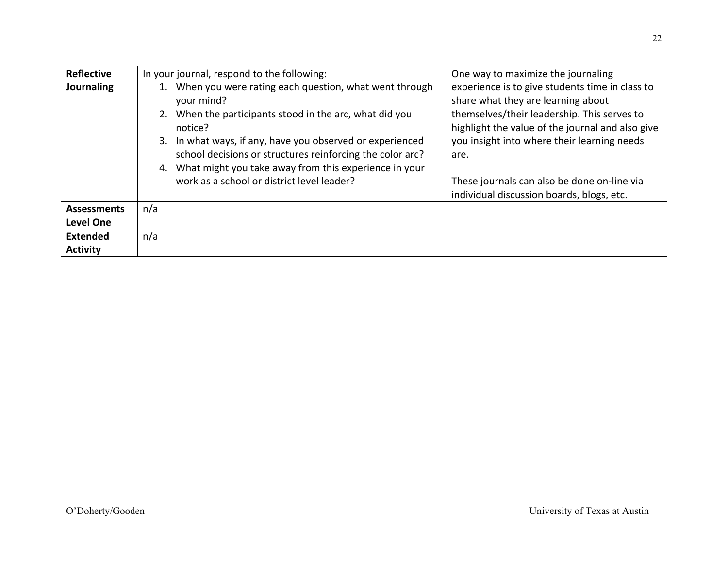| <b>Reflective</b><br><b>Journaling</b> | In your journal, respond to the following:<br>1. When you were rating each question, what went through<br>your mind?<br>When the participants stood in the arc, what did you<br>2.<br>notice?<br>3. In what ways, if any, have you observed or experienced<br>school decisions or structures reinforcing the color arc?<br>What might you take away from this experience in your<br>4.<br>work as a school or district level leader? | One way to maximize the journaling<br>experience is to give students time in class to<br>share what they are learning about<br>themselves/their leadership. This serves to<br>highlight the value of the journal and also give<br>you insight into where their learning needs<br>are.<br>These journals can also be done on-line via<br>individual discussion boards, blogs, etc. |
|----------------------------------------|--------------------------------------------------------------------------------------------------------------------------------------------------------------------------------------------------------------------------------------------------------------------------------------------------------------------------------------------------------------------------------------------------------------------------------------|-----------------------------------------------------------------------------------------------------------------------------------------------------------------------------------------------------------------------------------------------------------------------------------------------------------------------------------------------------------------------------------|
| <b>Assessments</b><br><b>Level One</b> | n/a                                                                                                                                                                                                                                                                                                                                                                                                                                  |                                                                                                                                                                                                                                                                                                                                                                                   |
| <b>Extended</b><br><b>Activity</b>     | n/a                                                                                                                                                                                                                                                                                                                                                                                                                                  |                                                                                                                                                                                                                                                                                                                                                                                   |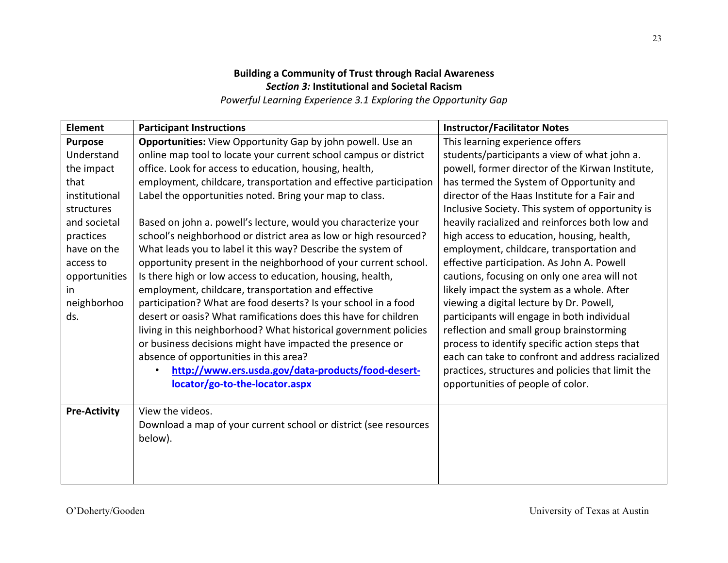# **Building a Community of Trust through Racial Awareness Section 3: Institutional and Societal Racism**

Powerful Learning Experience 3.1 Exploring the Opportunity Gap

| <b>Element</b>      | <b>Participant Instructions</b>                                   | <b>Instructor/Facilitator Notes</b>               |
|---------------------|-------------------------------------------------------------------|---------------------------------------------------|
| <b>Purpose</b>      | Opportunities: View Opportunity Gap by john powell. Use an        | This learning experience offers                   |
| Understand          | online map tool to locate your current school campus or district  | students/participants a view of what john a.      |
| the impact          | office. Look for access to education, housing, health,            | powell, former director of the Kirwan Institute,  |
| that                | employment, childcare, transportation and effective participation | has termed the System of Opportunity and          |
| institutional       | Label the opportunities noted. Bring your map to class.           | director of the Haas Institute for a Fair and     |
| structures          |                                                                   | Inclusive Society. This system of opportunity is  |
| and societal        | Based on john a. powell's lecture, would you characterize your    | heavily racialized and reinforces both low and    |
| practices           | school's neighborhood or district area as low or high resourced?  | high access to education, housing, health,        |
| have on the         | What leads you to label it this way? Describe the system of       | employment, childcare, transportation and         |
| access to           | opportunity present in the neighborhood of your current school.   | effective participation. As John A. Powell        |
| opportunities       | Is there high or low access to education, housing, health,        | cautions, focusing on only one area will not      |
| in                  | employment, childcare, transportation and effective               | likely impact the system as a whole. After        |
| neighborhoo         | participation? What are food deserts? Is your school in a food    | viewing a digital lecture by Dr. Powell,          |
| ds.                 | desert or oasis? What ramifications does this have for children   | participants will engage in both individual       |
|                     | living in this neighborhood? What historical government policies  | reflection and small group brainstorming          |
|                     | or business decisions might have impacted the presence or         | process to identify specific action steps that    |
|                     | absence of opportunities in this area?                            | each can take to confront and address racialized  |
|                     | http://www.ers.usda.gov/data-products/food-desert-                | practices, structures and policies that limit the |
|                     | locator/go-to-the-locator.aspx                                    | opportunities of people of color.                 |
|                     |                                                                   |                                                   |
| <b>Pre-Activity</b> | View the videos.                                                  |                                                   |
|                     | Download a map of your current school or district (see resources  |                                                   |
|                     | below).                                                           |                                                   |
|                     |                                                                   |                                                   |
|                     |                                                                   |                                                   |
|                     |                                                                   |                                                   |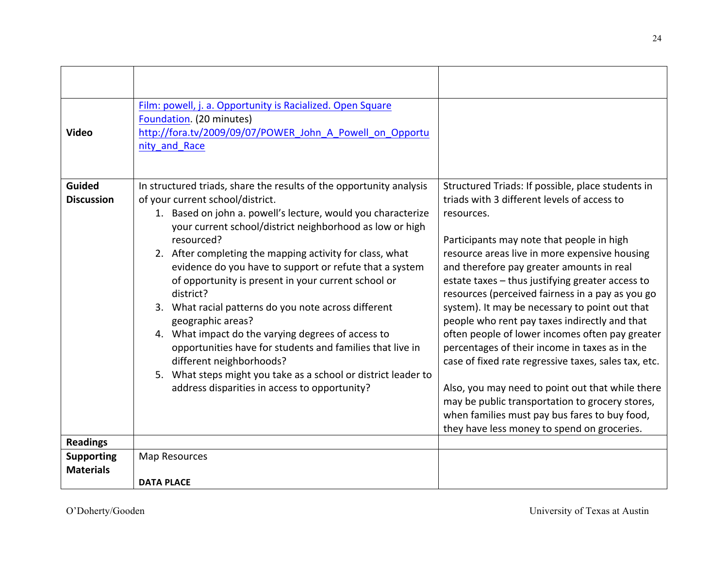| <b>Video</b>                       | Film: powell, j. a. Opportunity is Racialized. Open Square<br>Foundation. (20 minutes)<br>http://fora.tv/2009/09/07/POWER_John_A_Powell_on_Opportu<br>nity_and Race                                                                                                                                                                                                                                                                                                                                                                                                                                                                                                                                                                                                                         |                                                                                                                                                                                                                                                                                                                                                                                                                                                                                                                                                                                                                                                                                                                                                                                                                                          |
|------------------------------------|---------------------------------------------------------------------------------------------------------------------------------------------------------------------------------------------------------------------------------------------------------------------------------------------------------------------------------------------------------------------------------------------------------------------------------------------------------------------------------------------------------------------------------------------------------------------------------------------------------------------------------------------------------------------------------------------------------------------------------------------------------------------------------------------|------------------------------------------------------------------------------------------------------------------------------------------------------------------------------------------------------------------------------------------------------------------------------------------------------------------------------------------------------------------------------------------------------------------------------------------------------------------------------------------------------------------------------------------------------------------------------------------------------------------------------------------------------------------------------------------------------------------------------------------------------------------------------------------------------------------------------------------|
| <b>Guided</b><br><b>Discussion</b> | In structured triads, share the results of the opportunity analysis<br>of your current school/district.<br>1. Based on john a. powell's lecture, would you characterize<br>your current school/district neighborhood as low or high<br>resourced?<br>2. After completing the mapping activity for class, what<br>evidence do you have to support or refute that a system<br>of opportunity is present in your current school or<br>district?<br>3. What racial patterns do you note across different<br>geographic areas?<br>4. What impact do the varying degrees of access to<br>opportunities have for students and families that live in<br>different neighborhoods?<br>5. What steps might you take as a school or district leader to<br>address disparities in access to opportunity? | Structured Triads: If possible, place students in<br>triads with 3 different levels of access to<br>resources.<br>Participants may note that people in high<br>resource areas live in more expensive housing<br>and therefore pay greater amounts in real<br>estate taxes - thus justifying greater access to<br>resources (perceived fairness in a pay as you go<br>system). It may be necessary to point out that<br>people who rent pay taxes indirectly and that<br>often people of lower incomes often pay greater<br>percentages of their income in taxes as in the<br>case of fixed rate regressive taxes, sales tax, etc.<br>Also, you may need to point out that while there<br>may be public transportation to grocery stores,<br>when families must pay bus fares to buy food,<br>they have less money to spend on groceries. |
| <b>Readings</b>                    |                                                                                                                                                                                                                                                                                                                                                                                                                                                                                                                                                                                                                                                                                                                                                                                             |                                                                                                                                                                                                                                                                                                                                                                                                                                                                                                                                                                                                                                                                                                                                                                                                                                          |
| <b>Supporting</b>                  | Map Resources                                                                                                                                                                                                                                                                                                                                                                                                                                                                                                                                                                                                                                                                                                                                                                               |                                                                                                                                                                                                                                                                                                                                                                                                                                                                                                                                                                                                                                                                                                                                                                                                                                          |
| <b>Materials</b>                   |                                                                                                                                                                                                                                                                                                                                                                                                                                                                                                                                                                                                                                                                                                                                                                                             |                                                                                                                                                                                                                                                                                                                                                                                                                                                                                                                                                                                                                                                                                                                                                                                                                                          |
|                                    | <b>DATA PLACE</b>                                                                                                                                                                                                                                                                                                                                                                                                                                                                                                                                                                                                                                                                                                                                                                           |                                                                                                                                                                                                                                                                                                                                                                                                                                                                                                                                                                                                                                                                                                                                                                                                                                          |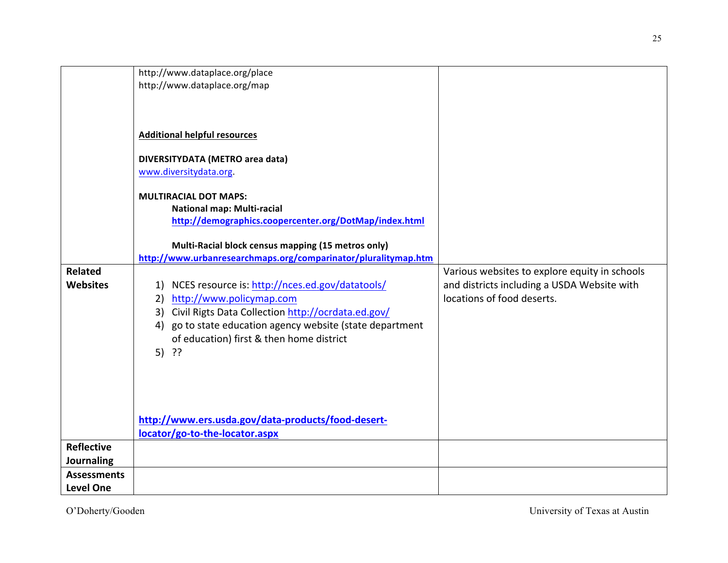|                    | http://www.dataplace.org/place                                 |                                               |
|--------------------|----------------------------------------------------------------|-----------------------------------------------|
|                    | http://www.dataplace.org/map                                   |                                               |
|                    |                                                                |                                               |
|                    |                                                                |                                               |
|                    |                                                                |                                               |
|                    | <b>Additional helpful resources</b>                            |                                               |
|                    |                                                                |                                               |
|                    | DIVERSITYDATA (METRO area data)                                |                                               |
|                    | www.diversitydata.org.                                         |                                               |
|                    |                                                                |                                               |
|                    | <b>MULTIRACIAL DOT MAPS:</b>                                   |                                               |
|                    | National map: Multi-racial                                     |                                               |
|                    | http://demographics.coopercenter.org/DotMap/index.html         |                                               |
|                    |                                                                |                                               |
|                    | Multi-Racial block census mapping (15 metros only)             |                                               |
|                    | http://www.urbanresearchmaps.org/comparinator/pluralitymap.htm |                                               |
| <b>Related</b>     |                                                                | Various websites to explore equity in schools |
| <b>Websites</b>    |                                                                | and districts including a USDA Website with   |
|                    | 1) NCES resource is: http://nces.ed.gov/datatools/             |                                               |
|                    | 2) http://www.policymap.com                                    | locations of food deserts.                    |
|                    | Civil Rigts Data Collection http://ocrdata.ed.gov/<br>3)       |                                               |
|                    | go to state education agency website (state department<br>4)   |                                               |
|                    | of education) first & then home district                       |                                               |
|                    | $5)$ ??                                                        |                                               |
|                    |                                                                |                                               |
|                    |                                                                |                                               |
|                    |                                                                |                                               |
|                    |                                                                |                                               |
|                    |                                                                |                                               |
|                    | http://www.ers.usda.gov/data-products/food-desert-             |                                               |
|                    | locator/go-to-the-locator.aspx                                 |                                               |
| <b>Reflective</b>  |                                                                |                                               |
| Journaling         |                                                                |                                               |
| <b>Assessments</b> |                                                                |                                               |
| <b>Level One</b>   |                                                                |                                               |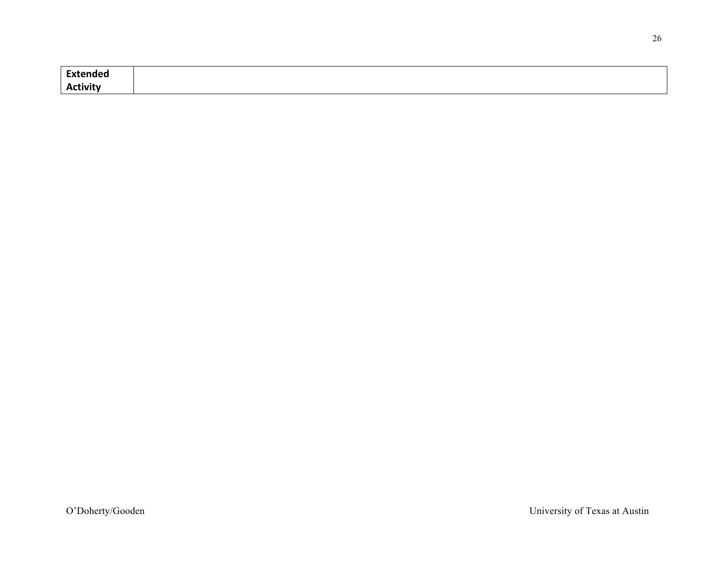| <b>Extended</b> |  |
|-----------------|--|
| <b>Activity</b> |  |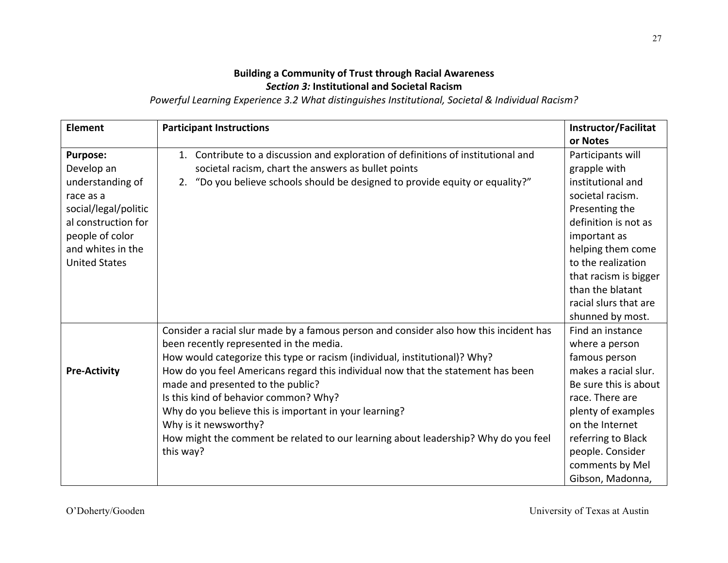## **Building a Community of Trust through Racial Awareness Section 3: Institutional and Societal Racism**

Powerful Learning Experience 3.2 What distinguishes Institutional, Societal & Individual Racism?

| <b>Element</b>                                                                                                                                                                | <b>Participant Instructions</b>                                                                                                                                                                                                                                                                                                                                                                                                                                                                                                                                         | <b>Instructor/Facilitat</b><br>or Notes                                                                                                                                                                                                                                   |
|-------------------------------------------------------------------------------------------------------------------------------------------------------------------------------|-------------------------------------------------------------------------------------------------------------------------------------------------------------------------------------------------------------------------------------------------------------------------------------------------------------------------------------------------------------------------------------------------------------------------------------------------------------------------------------------------------------------------------------------------------------------------|---------------------------------------------------------------------------------------------------------------------------------------------------------------------------------------------------------------------------------------------------------------------------|
| <b>Purpose:</b><br>Develop an<br>understanding of<br>race as a<br>social/legal/politic<br>al construction for<br>people of color<br>and whites in the<br><b>United States</b> | Contribute to a discussion and exploration of definitions of institutional and<br>1.<br>societal racism, chart the answers as bullet points<br>"Do you believe schools should be designed to provide equity or equality?"<br>2.                                                                                                                                                                                                                                                                                                                                         | Participants will<br>grapple with<br>institutional and<br>societal racism.<br>Presenting the<br>definition is not as<br>important as<br>helping them come<br>to the realization<br>that racism is bigger<br>than the blatant<br>racial slurs that are<br>shunned by most. |
| <b>Pre-Activity</b>                                                                                                                                                           | Consider a racial slur made by a famous person and consider also how this incident has<br>been recently represented in the media.<br>How would categorize this type or racism (individual, institutional)? Why?<br>How do you feel Americans regard this individual now that the statement has been<br>made and presented to the public?<br>Is this kind of behavior common? Why?<br>Why do you believe this is important in your learning?<br>Why is it newsworthy?<br>How might the comment be related to our learning about leadership? Why do you feel<br>this way? | Find an instance<br>where a person<br>famous person<br>makes a racial slur.<br>Be sure this is about<br>race. There are<br>plenty of examples<br>on the Internet<br>referring to Black<br>people. Consider<br>comments by Mel<br>Gibson, Madonna,                         |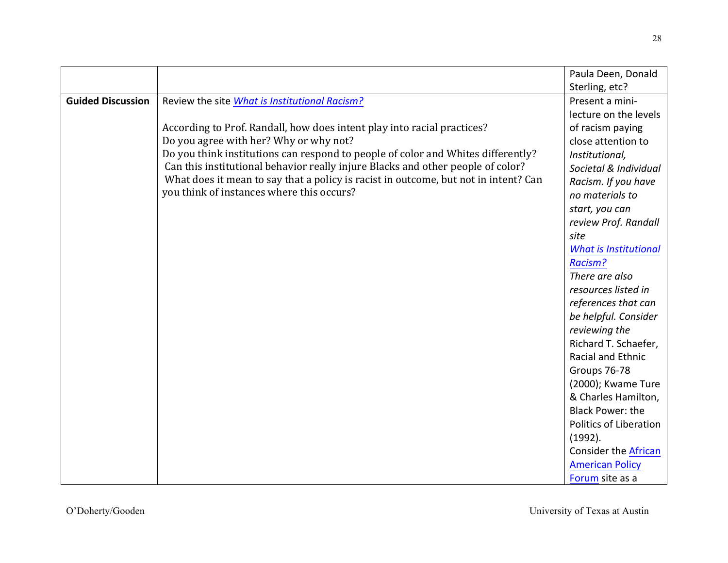|                          |                                                                                     | Paula Deen, Donald           |
|--------------------------|-------------------------------------------------------------------------------------|------------------------------|
|                          |                                                                                     | Sterling, etc?               |
| <b>Guided Discussion</b> | Review the site What is Institutional Racism?                                       | Present a mini-              |
|                          |                                                                                     | lecture on the levels        |
|                          | According to Prof. Randall, how does intent play into racial practices?             | of racism paying             |
|                          | Do you agree with her? Why or why not?                                              | close attention to           |
|                          | Do you think institutions can respond to people of color and Whites differently?    | Institutional,               |
|                          | Can this institutional behavior really injure Blacks and other people of color?     | Societal & Individual        |
|                          | What does it mean to say that a policy is racist in outcome, but not in intent? Can | Racism. If you have          |
|                          | you think of instances where this occurs?                                           | no materials to              |
|                          |                                                                                     | start, you can               |
|                          |                                                                                     | review Prof. Randall         |
|                          |                                                                                     | site                         |
|                          |                                                                                     | <b>What is Institutional</b> |
|                          |                                                                                     | Racism?                      |
|                          |                                                                                     | There are also               |
|                          |                                                                                     | resources listed in          |
|                          |                                                                                     | references that can          |
|                          |                                                                                     | be helpful. Consider         |
|                          |                                                                                     | reviewing the                |
|                          |                                                                                     | Richard T. Schaefer,         |
|                          |                                                                                     | Racial and Ethnic            |
|                          |                                                                                     | Groups 76-78                 |
|                          |                                                                                     | (2000); Kwame Ture           |
|                          |                                                                                     | & Charles Hamilton,          |
|                          |                                                                                     | <b>Black Power: the</b>      |
|                          |                                                                                     | Politics of Liberation       |
|                          |                                                                                     | (1992).                      |
|                          |                                                                                     | <b>Consider the African</b>  |
|                          |                                                                                     | <b>American Policy</b>       |
|                          |                                                                                     | Forum site as a              |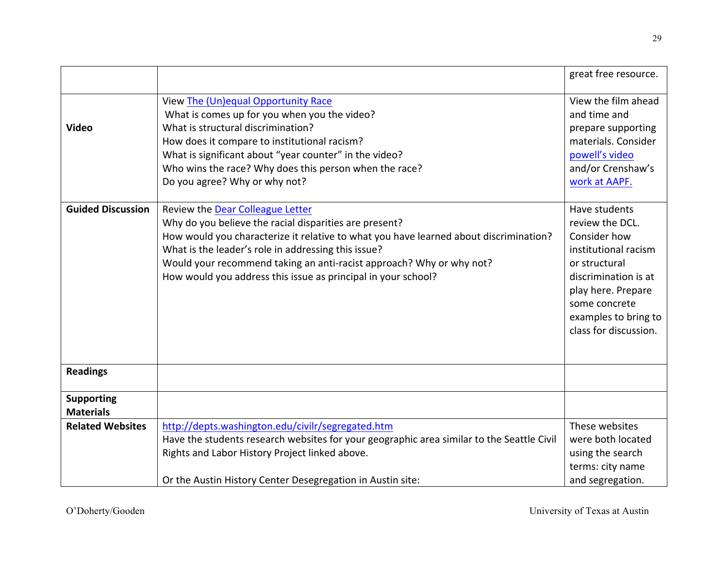|                                       |                                                                                                                                                                                                                                                                                                                                                                                     | great free resource.                                                                                                                                                                                      |
|---------------------------------------|-------------------------------------------------------------------------------------------------------------------------------------------------------------------------------------------------------------------------------------------------------------------------------------------------------------------------------------------------------------------------------------|-----------------------------------------------------------------------------------------------------------------------------------------------------------------------------------------------------------|
| <b>Video</b>                          | View The (Un)equal Opportunity Race<br>What is comes up for you when you the video?<br>What is structural discrimination?<br>How does it compare to institutional racism?<br>What is significant about "year counter" in the video?<br>Who wins the race? Why does this person when the race?<br>Do you agree? Why or why not?                                                      | View the film ahead<br>and time and<br>prepare supporting<br>materials. Consider<br>powell's video<br>and/or Crenshaw's<br>work at AAPF.                                                                  |
| <b>Guided Discussion</b>              | Review the Dear Colleague Letter<br>Why do you believe the racial disparities are present?<br>How would you characterize it relative to what you have learned about discrimination?<br>What is the leader's role in addressing this issue?<br>Would your recommend taking an anti-racist approach? Why or why not?<br>How would you address this issue as principal in your school? | Have students<br>review the DCL.<br>Consider how<br>institutional racism<br>or structural<br>discrimination is at<br>play here. Prepare<br>some concrete<br>examples to bring to<br>class for discussion. |
| <b>Readings</b>                       |                                                                                                                                                                                                                                                                                                                                                                                     |                                                                                                                                                                                                           |
| <b>Supporting</b><br><b>Materials</b> |                                                                                                                                                                                                                                                                                                                                                                                     |                                                                                                                                                                                                           |
| <b>Related Websites</b>               | http://depts.washington.edu/civilr/segregated.htm<br>Have the students research websites for your geographic area similar to the Seattle Civil<br>Rights and Labor History Project linked above.                                                                                                                                                                                    | These websites<br>were both located<br>using the search<br>terms: city name                                                                                                                               |
|                                       | Or the Austin History Center Desegregation in Austin site:                                                                                                                                                                                                                                                                                                                          | and segregation.                                                                                                                                                                                          |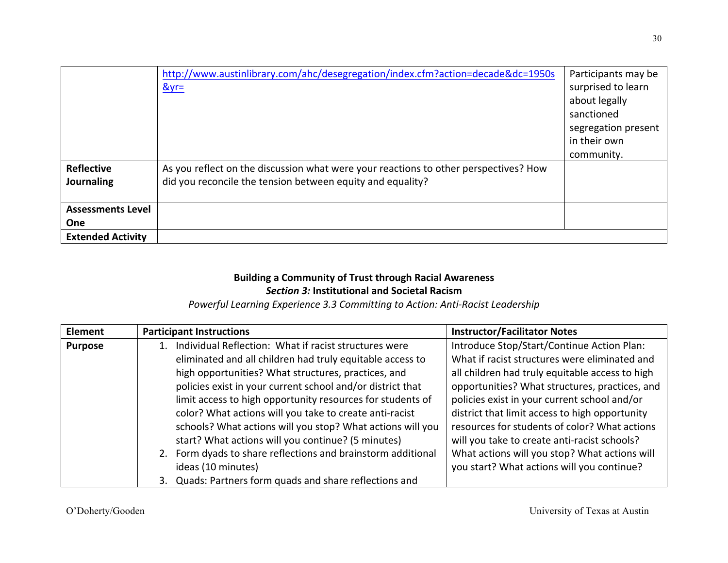|                                 | http://www.austinlibrary.com/ahc/desegregation/index.cfm?action=decade&dc=1950s<br>$&\text{yr}$ =                                                  | Participants may be<br>surprised to learn<br>about legally<br>sanctioned<br>segregation present |
|---------------------------------|----------------------------------------------------------------------------------------------------------------------------------------------------|-------------------------------------------------------------------------------------------------|
|                                 |                                                                                                                                                    | in their own<br>community.                                                                      |
| <b>Reflective</b><br>Journaling | As you reflect on the discussion what were your reactions to other perspectives? How<br>did you reconcile the tension between equity and equality? |                                                                                                 |
| <b>Assessments Level</b>        |                                                                                                                                                    |                                                                                                 |
| <b>One</b>                      |                                                                                                                                                    |                                                                                                 |
| <b>Extended Activity</b>        |                                                                                                                                                    |                                                                                                 |

### **Building a Community of Trust through Racial Awareness Section 3: Institutional and Societal Racism**

Powerful Learning Experience 3.3 Committing to Action: Anti-Racist Leadership

| Element        | <b>Participant Instructions</b>                              | <b>Instructor/Facilitator Notes</b>             |
|----------------|--------------------------------------------------------------|-------------------------------------------------|
| <b>Purpose</b> | Individual Reflection: What if racist structures were        | Introduce Stop/Start/Continue Action Plan:      |
|                | eliminated and all children had truly equitable access to    | What if racist structures were eliminated and   |
|                | high opportunities? What structures, practices, and          | all children had truly equitable access to high |
|                | policies exist in your current school and/or district that   | opportunities? What structures, practices, and  |
|                | limit access to high opportunity resources for students of   | policies exist in your current school and/or    |
|                | color? What actions will you take to create anti-racist      | district that limit access to high opportunity  |
|                | schools? What actions will you stop? What actions will you   | resources for students of color? What actions   |
|                | start? What actions will you continue? (5 minutes)           | will you take to create anti-racist schools?    |
|                | 2. Form dyads to share reflections and brainstorm additional | What actions will you stop? What actions will   |
|                | ideas (10 minutes)                                           | you start? What actions will you continue?      |
|                | 3. Quads: Partners form quads and share reflections and      |                                                 |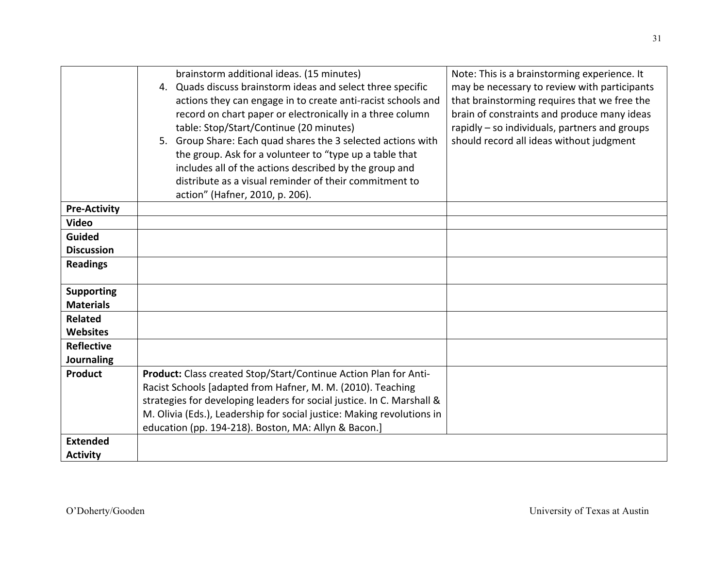|                     | brainstorm additional ideas. (15 minutes)<br>4. Quads discuss brainstorm ideas and select three specific<br>actions they can engage in to create anti-racist schools and<br>record on chart paper or electronically in a three column<br>table: Stop/Start/Continue (20 minutes)<br>5. Group Share: Each quad shares the 3 selected actions with<br>the group. Ask for a volunteer to "type up a table that<br>includes all of the actions described by the group and | Note: This is a brainstorming experience. It<br>may be necessary to review with participants<br>that brainstorming requires that we free the<br>brain of constraints and produce many ideas<br>rapidly - so individuals, partners and groups<br>should record all ideas without judgment |
|---------------------|-----------------------------------------------------------------------------------------------------------------------------------------------------------------------------------------------------------------------------------------------------------------------------------------------------------------------------------------------------------------------------------------------------------------------------------------------------------------------|------------------------------------------------------------------------------------------------------------------------------------------------------------------------------------------------------------------------------------------------------------------------------------------|
|                     | distribute as a visual reminder of their commitment to<br>action" (Hafner, 2010, p. 206).                                                                                                                                                                                                                                                                                                                                                                             |                                                                                                                                                                                                                                                                                          |
| <b>Pre-Activity</b> |                                                                                                                                                                                                                                                                                                                                                                                                                                                                       |                                                                                                                                                                                                                                                                                          |
| <b>Video</b>        |                                                                                                                                                                                                                                                                                                                                                                                                                                                                       |                                                                                                                                                                                                                                                                                          |
| <b>Guided</b>       |                                                                                                                                                                                                                                                                                                                                                                                                                                                                       |                                                                                                                                                                                                                                                                                          |
| <b>Discussion</b>   |                                                                                                                                                                                                                                                                                                                                                                                                                                                                       |                                                                                                                                                                                                                                                                                          |
| <b>Readings</b>     |                                                                                                                                                                                                                                                                                                                                                                                                                                                                       |                                                                                                                                                                                                                                                                                          |
| <b>Supporting</b>   |                                                                                                                                                                                                                                                                                                                                                                                                                                                                       |                                                                                                                                                                                                                                                                                          |
| <b>Materials</b>    |                                                                                                                                                                                                                                                                                                                                                                                                                                                                       |                                                                                                                                                                                                                                                                                          |
| <b>Related</b>      |                                                                                                                                                                                                                                                                                                                                                                                                                                                                       |                                                                                                                                                                                                                                                                                          |
| <b>Websites</b>     |                                                                                                                                                                                                                                                                                                                                                                                                                                                                       |                                                                                                                                                                                                                                                                                          |
| <b>Reflective</b>   |                                                                                                                                                                                                                                                                                                                                                                                                                                                                       |                                                                                                                                                                                                                                                                                          |
| Journaling          |                                                                                                                                                                                                                                                                                                                                                                                                                                                                       |                                                                                                                                                                                                                                                                                          |
| Product             | Product: Class created Stop/Start/Continue Action Plan for Anti-                                                                                                                                                                                                                                                                                                                                                                                                      |                                                                                                                                                                                                                                                                                          |
|                     | Racist Schools [adapted from Hafner, M. M. (2010). Teaching                                                                                                                                                                                                                                                                                                                                                                                                           |                                                                                                                                                                                                                                                                                          |
|                     | strategies for developing leaders for social justice. In C. Marshall &                                                                                                                                                                                                                                                                                                                                                                                                |                                                                                                                                                                                                                                                                                          |
|                     | M. Olivia (Eds.), Leadership for social justice: Making revolutions in                                                                                                                                                                                                                                                                                                                                                                                                |                                                                                                                                                                                                                                                                                          |
| <b>Extended</b>     | education (pp. 194-218). Boston, MA: Allyn & Bacon.]                                                                                                                                                                                                                                                                                                                                                                                                                  |                                                                                                                                                                                                                                                                                          |
|                     |                                                                                                                                                                                                                                                                                                                                                                                                                                                                       |                                                                                                                                                                                                                                                                                          |
| <b>Activity</b>     |                                                                                                                                                                                                                                                                                                                                                                                                                                                                       |                                                                                                                                                                                                                                                                                          |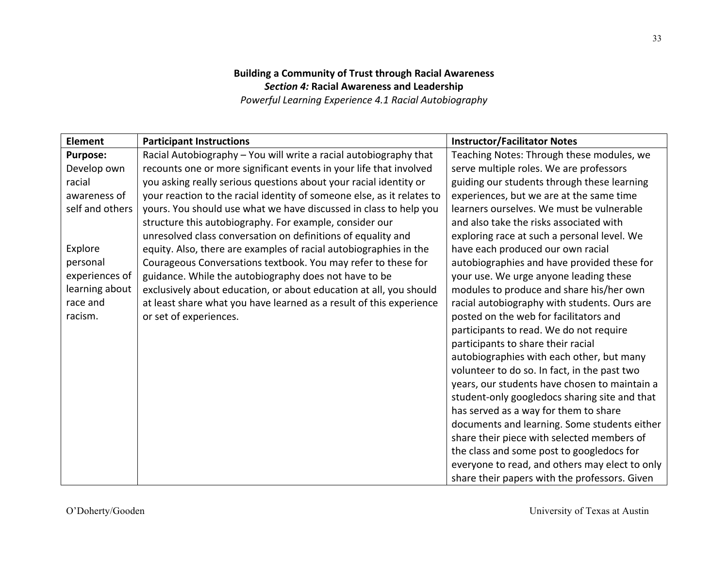# **Building a Community of Trust through Racial Awareness Section 4: Racial Awareness and Leadership**

**Powerful Learning Experience 4.1 Racial Autobiography** 

| <b>Element</b>  | <b>Participant Instructions</b>                                        | <b>Instructor/Facilitator Notes</b>            |
|-----------------|------------------------------------------------------------------------|------------------------------------------------|
| <b>Purpose:</b> | Racial Autobiography - You will write a racial autobiography that      | Teaching Notes: Through these modules, we      |
| Develop own     | recounts one or more significant events in your life that involved     | serve multiple roles. We are professors        |
| racial          | you asking really serious questions about your racial identity or      | guiding our students through these learning    |
| awareness of    | your reaction to the racial identity of someone else, as it relates to | experiences, but we are at the same time       |
| self and others | yours. You should use what we have discussed in class to help you      | learners ourselves. We must be vulnerable      |
|                 | structure this autobiography. For example, consider our                | and also take the risks associated with        |
|                 | unresolved class conversation on definitions of equality and           | exploring race at such a personal level. We    |
| Explore         | equity. Also, there are examples of racial autobiographies in the      | have each produced our own racial              |
| personal        | Courageous Conversations textbook. You may refer to these for          | autobiographies and have provided these for    |
| experiences of  | guidance. While the autobiography does not have to be                  | your use. We urge anyone leading these         |
| learning about  | exclusively about education, or about education at all, you should     | modules to produce and share his/her own       |
| race and        | at least share what you have learned as a result of this experience    | racial autobiography with students. Ours are   |
| racism.         | or set of experiences.                                                 | posted on the web for facilitators and         |
|                 |                                                                        | participants to read. We do not require        |
|                 |                                                                        | participants to share their racial             |
|                 |                                                                        | autobiographies with each other, but many      |
|                 |                                                                        | volunteer to do so. In fact, in the past two   |
|                 |                                                                        | years, our students have chosen to maintain a  |
|                 |                                                                        | student-only googledocs sharing site and that  |
|                 |                                                                        | has served as a way for them to share          |
|                 |                                                                        | documents and learning. Some students either   |
|                 |                                                                        | share their piece with selected members of     |
|                 |                                                                        | the class and some post to googledocs for      |
|                 |                                                                        | everyone to read, and others may elect to only |
|                 |                                                                        | share their papers with the professors. Given  |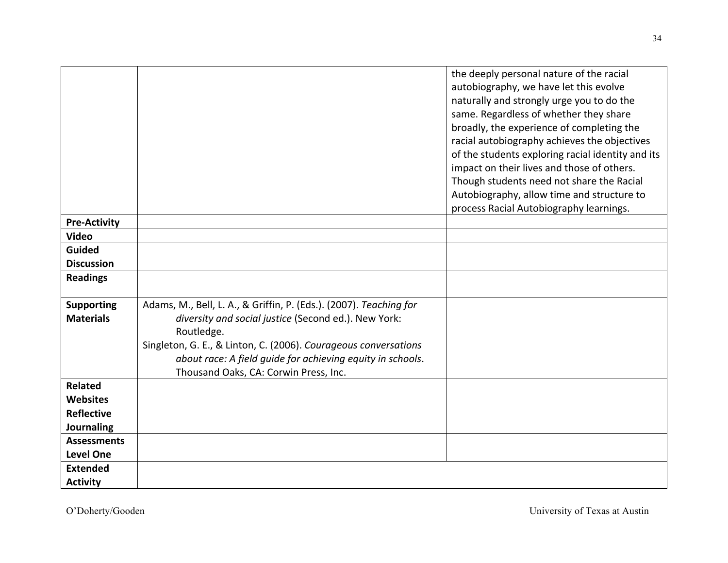|                     |                                                                                                     | the deeply personal nature of the racial<br>autobiography, we have let this evolve<br>naturally and strongly urge you to do the<br>same. Regardless of whether they share |
|---------------------|-----------------------------------------------------------------------------------------------------|---------------------------------------------------------------------------------------------------------------------------------------------------------------------------|
|                     |                                                                                                     | broadly, the experience of completing the<br>racial autobiography achieves the objectives                                                                                 |
|                     |                                                                                                     | of the students exploring racial identity and its                                                                                                                         |
|                     |                                                                                                     | impact on their lives and those of others.<br>Though students need not share the Racial                                                                                   |
|                     |                                                                                                     | Autobiography, allow time and structure to                                                                                                                                |
|                     |                                                                                                     | process Racial Autobiography learnings.                                                                                                                                   |
| <b>Pre-Activity</b> |                                                                                                     |                                                                                                                                                                           |
| <b>Video</b>        |                                                                                                     |                                                                                                                                                                           |
| <b>Guided</b>       |                                                                                                     |                                                                                                                                                                           |
| <b>Discussion</b>   |                                                                                                     |                                                                                                                                                                           |
| <b>Readings</b>     |                                                                                                     |                                                                                                                                                                           |
| <b>Supporting</b>   | Adams, M., Bell, L. A., & Griffin, P. (Eds.). (2007). Teaching for                                  |                                                                                                                                                                           |
| <b>Materials</b>    | diversity and social justice (Second ed.). New York:                                                |                                                                                                                                                                           |
|                     | Routledge.                                                                                          |                                                                                                                                                                           |
|                     | Singleton, G. E., & Linton, C. (2006). Courageous conversations                                     |                                                                                                                                                                           |
|                     | about race: A field guide for achieving equity in schools.<br>Thousand Oaks, CA: Corwin Press, Inc. |                                                                                                                                                                           |
| <b>Related</b>      |                                                                                                     |                                                                                                                                                                           |
| <b>Websites</b>     |                                                                                                     |                                                                                                                                                                           |
| <b>Reflective</b>   |                                                                                                     |                                                                                                                                                                           |
| <b>Journaling</b>   |                                                                                                     |                                                                                                                                                                           |
| <b>Assessments</b>  |                                                                                                     |                                                                                                                                                                           |
| <b>Level One</b>    |                                                                                                     |                                                                                                                                                                           |
| <b>Extended</b>     |                                                                                                     |                                                                                                                                                                           |
| <b>Activity</b>     |                                                                                                     |                                                                                                                                                                           |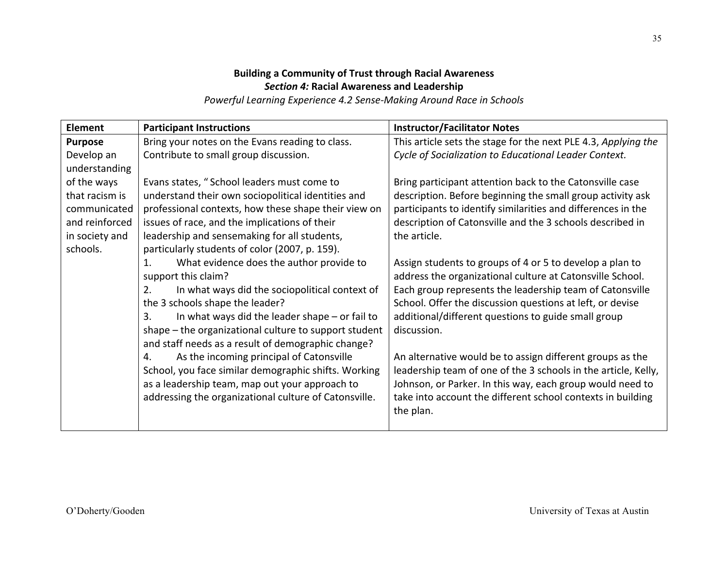# **Building a Community of Trust through Racial Awareness Section 4: Racial Awareness and Leadership**

Powerful Learning Experience 4.2 Sense-Making Around Race in Schools

| Element        | <b>Participant Instructions</b>                            | <b>Instructor/Facilitator Notes</b>                            |
|----------------|------------------------------------------------------------|----------------------------------------------------------------|
| <b>Purpose</b> | Bring your notes on the Evans reading to class.            | This article sets the stage for the next PLE 4.3, Applying the |
| Develop an     | Contribute to small group discussion.                      | Cycle of Socialization to Educational Leader Context.          |
| understanding  |                                                            |                                                                |
| of the ways    | Evans states, "School leaders must come to                 | Bring participant attention back to the Catonsville case       |
| that racism is | understand their own sociopolitical identities and         | description. Before beginning the small group activity ask     |
| communicated   | professional contexts, how these shape their view on       | participants to identify similarities and differences in the   |
| and reinforced | issues of race, and the implications of their              | description of Catonsville and the 3 schools described in      |
| in society and | leadership and sensemaking for all students,               | the article.                                                   |
| schools.       | particularly students of color (2007, p. 159).             |                                                                |
|                | What evidence does the author provide to<br>$\mathbf{1}$ . | Assign students to groups of 4 or 5 to develop a plan to       |
|                | support this claim?                                        | address the organizational culture at Catonsville School.      |
|                | 2.<br>In what ways did the sociopolitical context of       | Each group represents the leadership team of Catonsville       |
|                | the 3 schools shape the leader?                            | School. Offer the discussion questions at left, or devise      |
|                | In what ways did the leader shape $-$ or fail to<br>3.     | additional/different questions to guide small group            |
|                | shape – the organizational culture to support student      | discussion.                                                    |
|                | and staff needs as a result of demographic change?         |                                                                |
|                | As the incoming principal of Catonsville<br>4.             | An alternative would be to assign different groups as the      |
|                | School, you face similar demographic shifts. Working       | leadership team of one of the 3 schools in the article, Kelly, |
|                | as a leadership team, map out your approach to             | Johnson, or Parker. In this way, each group would need to      |
|                | addressing the organizational culture of Catonsville.      | take into account the different school contexts in building    |
|                |                                                            | the plan.                                                      |
|                |                                                            |                                                                |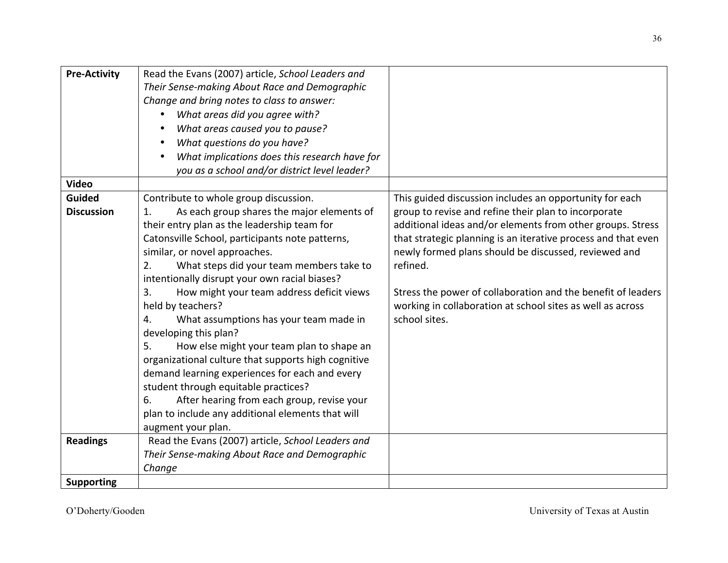| <b>Pre-Activity</b> | Read the Evans (2007) article, School Leaders and          |                                                               |
|---------------------|------------------------------------------------------------|---------------------------------------------------------------|
|                     | Their Sense-making About Race and Demographic              |                                                               |
|                     | Change and bring notes to class to answer:                 |                                                               |
|                     | What areas did you agree with?<br>$\bullet$                |                                                               |
|                     | What areas caused you to pause?<br>٠                       |                                                               |
|                     | What questions do you have?<br>$\bullet$                   |                                                               |
|                     | What implications does this research have for<br>$\bullet$ |                                                               |
|                     | you as a school and/or district level leader?              |                                                               |
| <b>Video</b>        |                                                            |                                                               |
| <b>Guided</b>       | Contribute to whole group discussion.                      | This guided discussion includes an opportunity for each       |
| <b>Discussion</b>   | As each group shares the major elements of<br>1.           | group to revise and refine their plan to incorporate          |
|                     | their entry plan as the leadership team for                | additional ideas and/or elements from other groups. Stress    |
|                     | Catonsville School, participants note patterns,            | that strategic planning is an iterative process and that even |
|                     | similar, or novel approaches.                              | newly formed plans should be discussed, reviewed and          |
|                     | What steps did your team members take to<br>2.             | refined.                                                      |
|                     | intentionally disrupt your own racial biases?              |                                                               |
|                     | How might your team address deficit views<br>3.            | Stress the power of collaboration and the benefit of leaders  |
|                     | held by teachers?                                          | working in collaboration at school sites as well as across    |
|                     | What assumptions has your team made in<br>4.               | school sites.                                                 |
|                     | developing this plan?                                      |                                                               |
|                     | How else might your team plan to shape an<br>5.            |                                                               |
|                     | organizational culture that supports high cognitive        |                                                               |
|                     | demand learning experiences for each and every             |                                                               |
|                     | student through equitable practices?                       |                                                               |
|                     | After hearing from each group, revise your<br>6.           |                                                               |
|                     | plan to include any additional elements that will          |                                                               |
|                     | augment your plan.                                         |                                                               |
| <b>Readings</b>     | Read the Evans (2007) article, School Leaders and          |                                                               |
|                     | Their Sense-making About Race and Demographic              |                                                               |
|                     | Change                                                     |                                                               |
| <b>Supporting</b>   |                                                            |                                                               |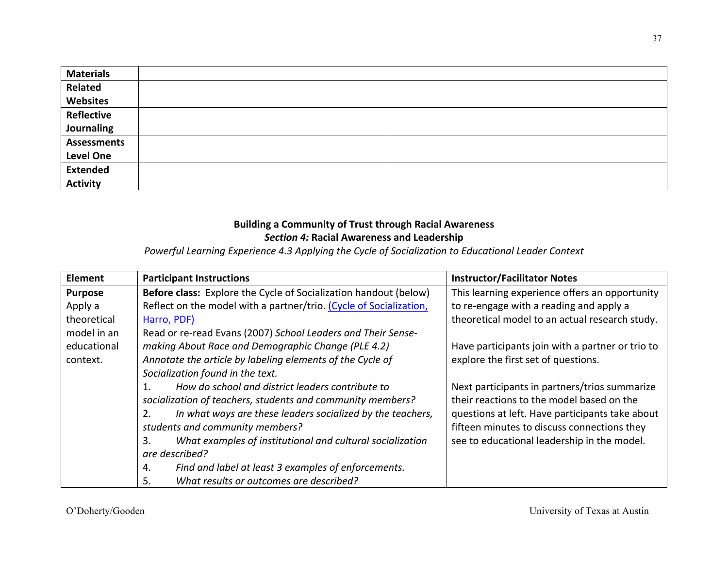| <b>Materials</b>   |  |
|--------------------|--|
| Related            |  |
| <b>Websites</b>    |  |
| <b>Reflective</b>  |  |
| Journaling         |  |
| <b>Assessments</b> |  |
| <b>Level One</b>   |  |
| <b>Extended</b>    |  |
| <b>Activity</b>    |  |

## **Building a Community of Trust through Racial Awareness Section 4: Racial Awareness and Leadership**

Powerful Learning Experience 4.3 Applying the Cycle of Socialization to Educational Leader Context

| <b>Element</b> | <b>Participant Instructions</b>                                    | <b>Instructor/Facilitator Notes</b>              |
|----------------|--------------------------------------------------------------------|--------------------------------------------------|
| <b>Purpose</b> | Before class: Explore the Cycle of Socialization handout (below)   | This learning experience offers an opportunity   |
| Apply a        | Reflect on the model with a partner/trio. (Cycle of Socialization, | to re-engage with a reading and apply a          |
| theoretical    | Harro, PDF)                                                        | theoretical model to an actual research study.   |
| model in an    | Read or re-read Evans (2007) School Leaders and Their Sense-       |                                                  |
| educational    | making About Race and Demographic Change (PLE 4.2)                 | Have participants join with a partner or trio to |
| context.       | Annotate the article by labeling elements of the Cycle of          | explore the first set of questions.              |
|                | Socialization found in the text.                                   |                                                  |
|                | How do school and district leaders contribute to<br>1.             | Next participants in partners/trios summarize    |
|                | socialization of teachers, students and community members?         | their reactions to the model based on the        |
|                | In what ways are these leaders socialized by the teachers,<br>2.   | questions at left. Have participants take about  |
|                | students and community members?                                    | fifteen minutes to discuss connections they      |
|                | What examples of institutional and cultural socialization<br>3.    | see to educational leadership in the model.      |
|                | are described?                                                     |                                                  |
|                | Find and label at least 3 examples of enforcements.<br>4.          |                                                  |
|                | What results or outcomes are described?<br>5.                      |                                                  |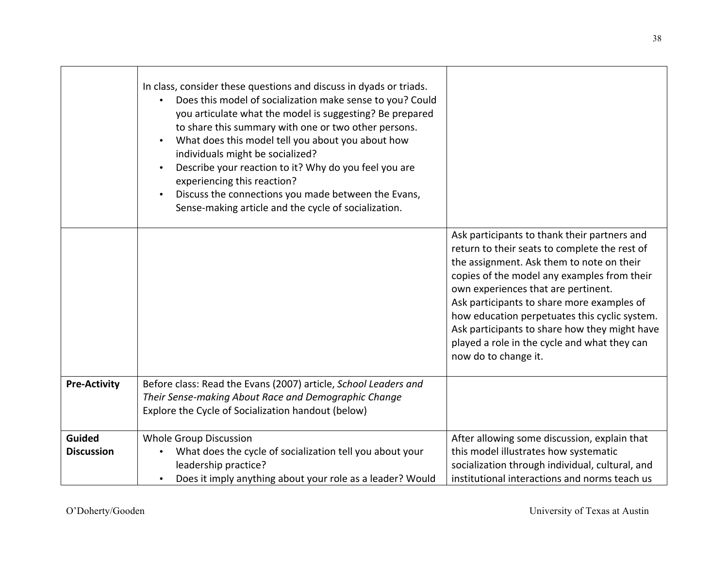|                             | In class, consider these questions and discuss in dyads or triads.<br>Does this model of socialization make sense to you? Could<br>you articulate what the model is suggesting? Be prepared<br>to share this summary with one or two other persons.<br>What does this model tell you about you about how<br>$\bullet$<br>individuals might be socialized?<br>Describe your reaction to it? Why do you feel you are<br>$\bullet$<br>experiencing this reaction?<br>Discuss the connections you made between the Evans,<br>Sense-making article and the cycle of socialization. |                                                                                                                                                                                                                                                                                                                                                                                                                                                          |
|-----------------------------|-------------------------------------------------------------------------------------------------------------------------------------------------------------------------------------------------------------------------------------------------------------------------------------------------------------------------------------------------------------------------------------------------------------------------------------------------------------------------------------------------------------------------------------------------------------------------------|----------------------------------------------------------------------------------------------------------------------------------------------------------------------------------------------------------------------------------------------------------------------------------------------------------------------------------------------------------------------------------------------------------------------------------------------------------|
|                             |                                                                                                                                                                                                                                                                                                                                                                                                                                                                                                                                                                               | Ask participants to thank their partners and<br>return to their seats to complete the rest of<br>the assignment. Ask them to note on their<br>copies of the model any examples from their<br>own experiences that are pertinent.<br>Ask participants to share more examples of<br>how education perpetuates this cyclic system.<br>Ask participants to share how they might have<br>played a role in the cycle and what they can<br>now do to change it. |
| <b>Pre-Activity</b>         | Before class: Read the Evans (2007) article, School Leaders and<br>Their Sense-making About Race and Demographic Change<br>Explore the Cycle of Socialization handout (below)                                                                                                                                                                                                                                                                                                                                                                                                 |                                                                                                                                                                                                                                                                                                                                                                                                                                                          |
| Guided<br><b>Discussion</b> | <b>Whole Group Discussion</b><br>What does the cycle of socialization tell you about your<br>leadership practice?<br>Does it imply anything about your role as a leader? Would<br>$\bullet$                                                                                                                                                                                                                                                                                                                                                                                   | After allowing some discussion, explain that<br>this model illustrates how systematic<br>socialization through individual, cultural, and<br>institutional interactions and norms teach us                                                                                                                                                                                                                                                                |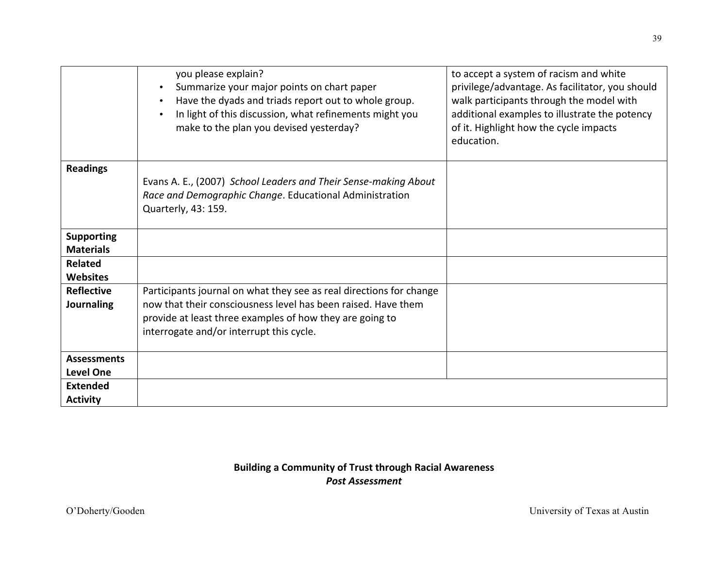|                                        | you please explain?<br>Summarize your major points on chart paper<br>$\bullet$<br>Have the dyads and triads report out to whole group.<br>$\bullet$<br>In light of this discussion, what refinements might you<br>$\bullet$<br>make to the plan you devised yesterday? | to accept a system of racism and white<br>privilege/advantage. As facilitator, you should<br>walk participants through the model with<br>additional examples to illustrate the potency<br>of it. Highlight how the cycle impacts<br>education. |
|----------------------------------------|------------------------------------------------------------------------------------------------------------------------------------------------------------------------------------------------------------------------------------------------------------------------|------------------------------------------------------------------------------------------------------------------------------------------------------------------------------------------------------------------------------------------------|
| <b>Readings</b>                        | Evans A. E., (2007) School Leaders and Their Sense-making About<br>Race and Demographic Change. Educational Administration                                                                                                                                             |                                                                                                                                                                                                                                                |
|                                        | Quarterly, 43: 159.                                                                                                                                                                                                                                                    |                                                                                                                                                                                                                                                |
| <b>Supporting</b><br><b>Materials</b>  |                                                                                                                                                                                                                                                                        |                                                                                                                                                                                                                                                |
| <b>Related</b><br><b>Websites</b>      |                                                                                                                                                                                                                                                                        |                                                                                                                                                                                                                                                |
| <b>Reflective</b><br>Journaling        | Participants journal on what they see as real directions for change<br>now that their consciousness level has been raised. Have them<br>provide at least three examples of how they are going to<br>interrogate and/or interrupt this cycle.                           |                                                                                                                                                                                                                                                |
| <b>Assessments</b><br><b>Level One</b> |                                                                                                                                                                                                                                                                        |                                                                                                                                                                                                                                                |
| <b>Extended</b><br><b>Activity</b>     |                                                                                                                                                                                                                                                                        |                                                                                                                                                                                                                                                |

## **Building a Community of Trust through Racial Awareness** *Post 
Assessment*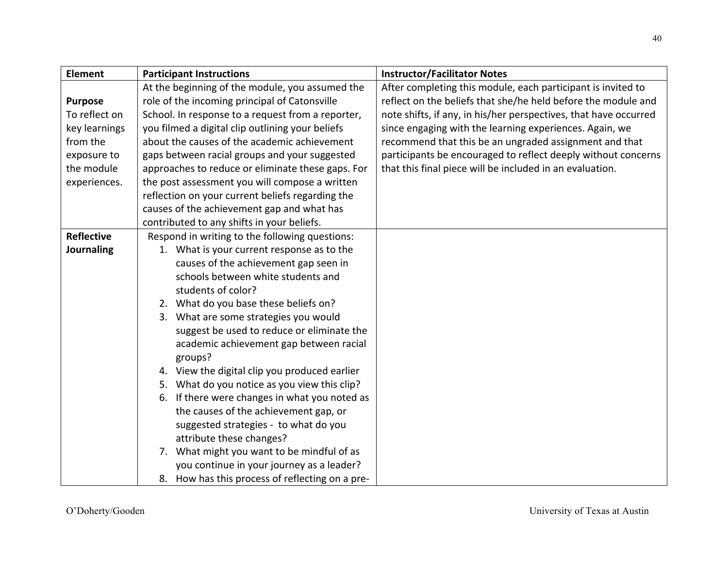| Element           | <b>Participant Instructions</b><br><b>Instructor/Facilitator Notes</b>                                                |
|-------------------|-----------------------------------------------------------------------------------------------------------------------|
|                   | At the beginning of the module, you assumed the<br>After completing this module, each participant is invited to       |
| <b>Purpose</b>    | role of the incoming principal of Catonsville<br>reflect on the beliefs that she/he held before the module and        |
| To reflect on     | note shifts, if any, in his/her perspectives, that have occurred<br>School. In response to a request from a reporter, |
| key learnings     | you filmed a digital clip outlining your beliefs<br>since engaging with the learning experiences. Again, we           |
| from the          | about the causes of the academic achievement<br>recommend that this be an ungraded assignment and that                |
| exposure to       | gaps between racial groups and your suggested<br>participants be encouraged to reflect deeply without concerns        |
| the module        | approaches to reduce or eliminate these gaps. For<br>that this final piece will be included in an evaluation.         |
| experiences.      | the post assessment you will compose a written                                                                        |
|                   | reflection on your current beliefs regarding the                                                                      |
|                   | causes of the achievement gap and what has                                                                            |
|                   | contributed to any shifts in your beliefs.                                                                            |
| <b>Reflective</b> | Respond in writing to the following questions:                                                                        |
| Journaling        | 1. What is your current response as to the                                                                            |
|                   | causes of the achievement gap seen in                                                                                 |
|                   | schools between white students and                                                                                    |
|                   | students of color?                                                                                                    |
|                   | 2. What do you base these beliefs on?                                                                                 |
|                   | 3. What are some strategies you would                                                                                 |
|                   | suggest be used to reduce or eliminate the                                                                            |
|                   | academic achievement gap between racial                                                                               |
|                   | groups?                                                                                                               |
|                   | 4. View the digital clip you produced earlier                                                                         |
|                   | 5. What do you notice as you view this clip?                                                                          |
|                   | If there were changes in what you noted as<br>6.                                                                      |
|                   | the causes of the achievement gap, or                                                                                 |
|                   | suggested strategies - to what do you                                                                                 |
|                   | attribute these changes?                                                                                              |
|                   | 7. What might you want to be mindful of as                                                                            |
|                   | you continue in your journey as a leader?                                                                             |
|                   | 8. How has this process of reflecting on a pre-                                                                       |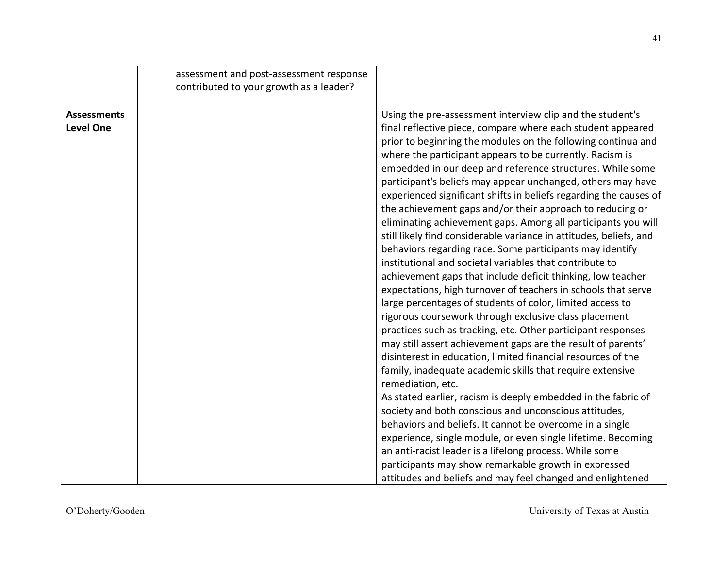|                                        | assessment and post-assessment response<br>contributed to your growth as a leader? |                                                                                                                                                                                                                                                                                                                                                                                                                                                                                                                                                                                                                                                                                                                                                                                                                                                                                                                                                                                                                                                                                                                                                                                                                                                                                                                                                                                                                                                                                                                                                                                                                                           |
|----------------------------------------|------------------------------------------------------------------------------------|-------------------------------------------------------------------------------------------------------------------------------------------------------------------------------------------------------------------------------------------------------------------------------------------------------------------------------------------------------------------------------------------------------------------------------------------------------------------------------------------------------------------------------------------------------------------------------------------------------------------------------------------------------------------------------------------------------------------------------------------------------------------------------------------------------------------------------------------------------------------------------------------------------------------------------------------------------------------------------------------------------------------------------------------------------------------------------------------------------------------------------------------------------------------------------------------------------------------------------------------------------------------------------------------------------------------------------------------------------------------------------------------------------------------------------------------------------------------------------------------------------------------------------------------------------------------------------------------------------------------------------------------|
| <b>Assessments</b><br><b>Level One</b> |                                                                                    | Using the pre-assessment interview clip and the student's<br>final reflective piece, compare where each student appeared<br>prior to beginning the modules on the following continua and<br>where the participant appears to be currently. Racism is<br>embedded in our deep and reference structures. While some<br>participant's beliefs may appear unchanged, others may have<br>experienced significant shifts in beliefs regarding the causes of<br>the achievement gaps and/or their approach to reducing or<br>eliminating achievement gaps. Among all participants you will<br>still likely find considerable variance in attitudes, beliefs, and<br>behaviors regarding race. Some participants may identify<br>institutional and societal variables that contribute to<br>achievement gaps that include deficit thinking, low teacher<br>expectations, high turnover of teachers in schools that serve<br>large percentages of students of color, limited access to<br>rigorous coursework through exclusive class placement<br>practices such as tracking, etc. Other participant responses<br>may still assert achievement gaps are the result of parents'<br>disinterest in education, limited financial resources of the<br>family, inadequate academic skills that require extensive<br>remediation, etc.<br>As stated earlier, racism is deeply embedded in the fabric of<br>society and both conscious and unconscious attitudes,<br>behaviors and beliefs. It cannot be overcome in a single<br>experience, single module, or even single lifetime. Becoming<br>an anti-racist leader is a lifelong process. While some |
|                                        |                                                                                    | participants may show remarkable growth in expressed<br>attitudes and beliefs and may feel changed and enlightened                                                                                                                                                                                                                                                                                                                                                                                                                                                                                                                                                                                                                                                                                                                                                                                                                                                                                                                                                                                                                                                                                                                                                                                                                                                                                                                                                                                                                                                                                                                        |